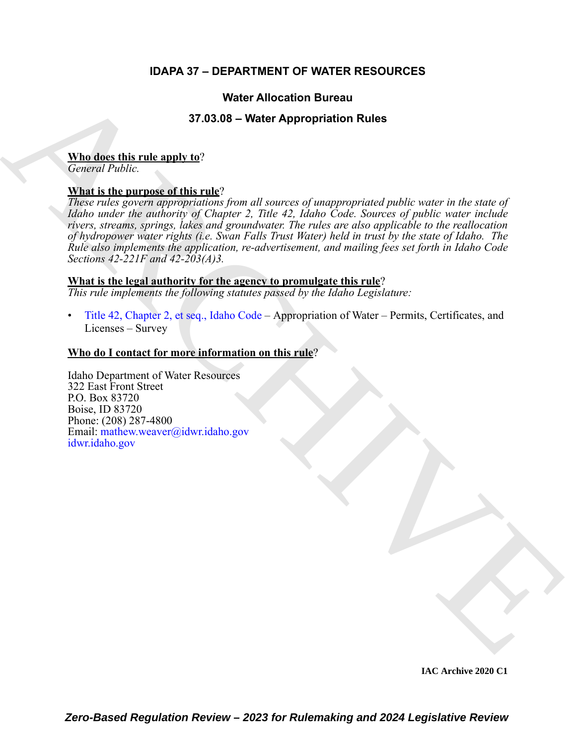# **IDAPA 37 – DEPARTMENT OF WATER RESOURCES**

# **Water Allocation Bureau**

# **37.03.08 – Water Appropriation Rules**

### **Who does this rule apply to**?

*General Public.*

# **What is the purpose of this rule**?

**Weiter Allocation Bureau<br>
37.03.08 – Water Appropriation Rules<br>
Mind describes this mate and this mate<br>
Now include the numerous of this mate**  $\alpha$  **is the set of the set of the<br> [V](https://.idwr.idaho.gov)irginian control of the parameter of the c** *These rules govern appropriations from all sources of unappropriated public water in the state of Idaho under the authority of Chapter 2, Title 42, Idaho Code. Sources of public water include rivers, streams, springs, lakes and groundwater. The rules are also applicable to the reallocation of hydropower water rights (i.e. Swan Falls Trust Water) held in trust by the state of Idaho. The Rule also implements the application, re-advertisement, and mailing fees set forth in Idaho Code Sections 42-221F and 42-203(A)3.*

# **What is the legal authority for the agency to promulgate this rule**?

*This rule implements the following statutes passed by the Idaho Legislature:*

• Title 42, Chapter 2, et seq., Idaho Code – Appropriation of Water – Permits, Certificates, and Licenses – Survey

# **Who do I contact for more information on this rule**?

Idaho Department of Water Resources 322 East Front Street P.O. Box 83720 Boise, ID 83720 Phone: (208) 287-4800 Email: mathew.weaver@idwr.idaho.gov idwr.idaho.gov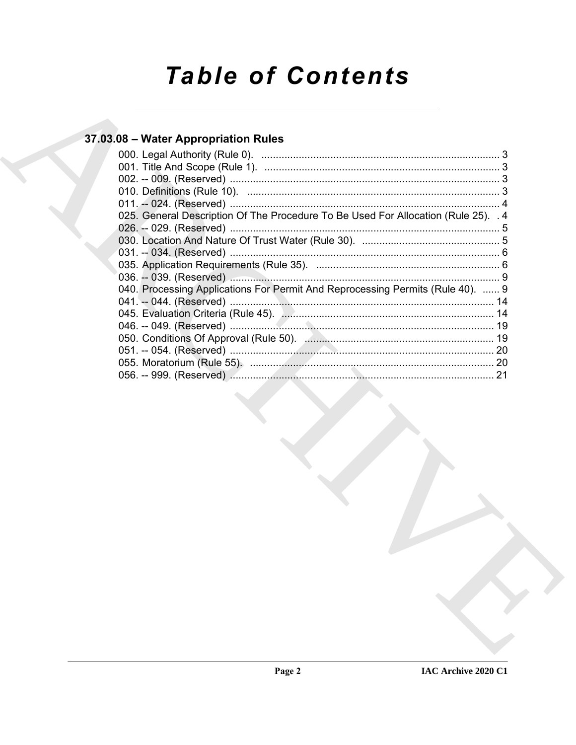# **Table of Contents**

# 37.03.08 - Water Appropriation Rules

| 025. General Description Of The Procedure To Be Used For Allocation (Rule 25). 4 |     |
|----------------------------------------------------------------------------------|-----|
|                                                                                  |     |
|                                                                                  |     |
|                                                                                  |     |
|                                                                                  |     |
| 040. Processing Applications For Permit And Reprocessing Permits (Rule 40).  9   |     |
|                                                                                  |     |
|                                                                                  | 14  |
|                                                                                  | 19  |
|                                                                                  |     |
|                                                                                  | 20  |
|                                                                                  | -20 |
|                                                                                  | 21  |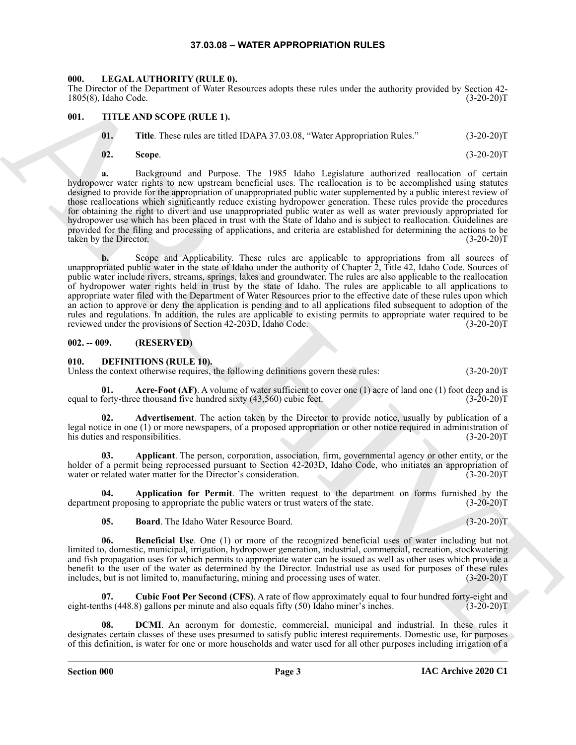#### **37.03.08 – WATER APPROPRIATION RULES**

#### <span id="page-2-14"></span><span id="page-2-1"></span><span id="page-2-0"></span>**000. LEGAL AUTHORITY (RULE 0).**

The Director of the Department of Water Resources adopts these rules under the authority provided by Section 42- 1805(8), Idaho Code. (3-20-20)T

#### <span id="page-2-2"></span>**001. TITLE AND SCOPE (RULE 1).**

- <span id="page-2-15"></span>**01. Title**. These rules are titled IDAPA 37.03.08, "Water Appropriation Rules." (3-20-20)T
- **02. Scope**. (3-20-20)T

**a.** Background and Purpose. The 1985 Idaho Legislature authorized reallocation of certain hydropower water rights to new upstream beneficial uses. The reallocation is to be accomplished using statutes designed to provide for the appropriation of unappropriated public water supplemented by a public interest review of those reallocations which significantly reduce existing hydropower generation. These rules provide the procedures for obtaining the right to divert and use unappropriated public water as well as water previously appropriated for hydropower use which has been placed in trust with the State of Idaho and is subject to reallocation. Guidelines are provided for the filing and processing of applications, and criteria are established for determining the actions to be taken by the Director. (3-20-20)T

The Contract of the Ross college the state is not the matter the widowing college that  $\sim 10^{-3}$  and  $\sim 10^{-3}$  and  $\sim 10^{-3}$  and  $\sim 10^{-3}$  and  $\sim 10^{-3}$  and  $\sim 10^{-3}$  and  $\sim 10^{-3}$  and  $\sim 10^{-3}$  and  $\sim 10^{-3}$  and **b.** Scope and Applicability. These rules are applicable to appropriations from all sources of unappropriated public water in the state of Idaho under the authority of Chapter 2, Title 42, Idaho Code. Sources of public water include rivers, streams, springs, lakes and groundwater. The rules are also applicable to the reallocation of hydropower water rights held in trust by the state of Idaho. The rules are applicable to all applications to appropriate water filed with the Department of Water Resources prior to the effective date of these rules upon which an action to approve or deny the application is pending and to all applications filed subsequent to adoption of the rules and regulations. In addition, the rules are applicable to existing permits to appropriate water required to be reviewed under the provisions of Section 42-203D, Idaho Code. (3-20-20)T

#### <span id="page-2-3"></span>**002. -- 009. (RESERVED)**

<span id="page-2-5"></span><span id="page-2-4"></span>**010. DEFINITIONS (RULE 10).**

Unless the context otherwise requires, the following definitions govern these rules: (3-20-20)T

<span id="page-2-6"></span>**01.** Acre-Foot (AF). A volume of water sufficient to cover one (1) acre of land one (1) foot deep and is equal to forty-three thousand five hundred sixty (43,560) cubic feet. (3-20-20)T

<span id="page-2-7"></span>**02. Advertisement**. The action taken by the Director to provide notice, usually by publication of a legal notice in one (1) or more newspapers, of a proposed appropriation or other notice required in administration of his duties and responsibilities. (3-20-20)T

<span id="page-2-8"></span>**03. Applicant**. The person, corporation, association, firm, governmental agency or other entity, or the holder of a permit being reprocessed pursuant to Section 42-203D, Idaho Code, who initiates an appropriation of water or related water matter for the Director's consideration. (3-20-20)T water or related water matter for the Director's consideration.

**Application for Permit**. The written request to the department on forms furnished by the sing to appropriate the public waters or trust waters of the state. (3-20-20)T department proposing to appropriate the public waters or trust waters of the state.

<span id="page-2-11"></span><span id="page-2-10"></span><span id="page-2-9"></span>**05. Board**. The Idaho Water Resource Board. (3-20-20)T

**06. Beneficial Use**. One (1) or more of the recognized beneficial uses of water including but not limited to, domestic, municipal, irrigation, hydropower generation, industrial, commercial, recreation, stockwatering and fish propagation uses for which permits to appropriate water can be issued as well as other uses which provide a benefit to the user of the water as determined by the Director. Industrial use as used for purposes of these rules includes, but is not limited to, manufacturing, mining and processing uses of water. (3-20-20)T

<span id="page-2-12"></span>**07. Cubic Foot Per Second (CFS)**. A rate of flow approximately equal to four hundred forty-eight and eight-tenths (448.8) gallons per minute and also equals fifty (50) Idaho miner's inches. (3-20-20)T

<span id="page-2-13"></span>**08. DCMI**. An acronym for domestic, commercial, municipal and industrial. In these rules it designates certain classes of these uses presumed to satisfy public interest requirements. Domestic use, for purposes of this definition, is water for one or more households and water used for all other purposes including irrigation of a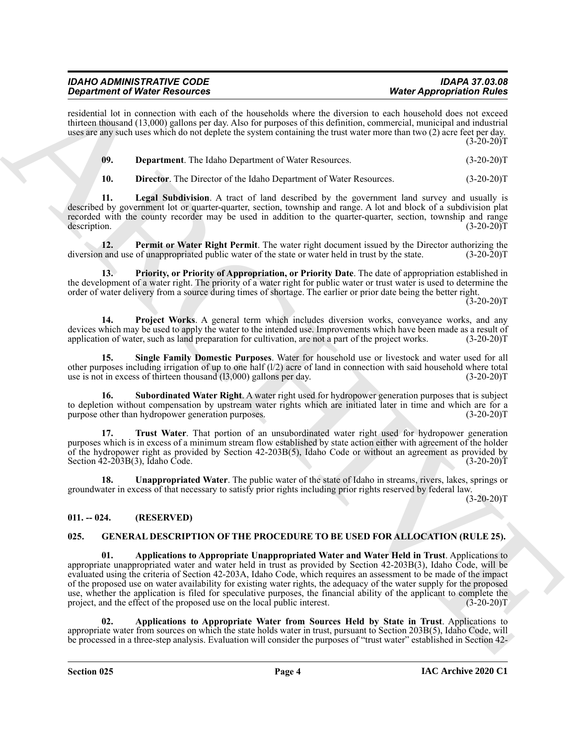| IDAHO ADMINISTRATIVE CODE            | <b>IDAPA 37.03.08</b>            |
|--------------------------------------|----------------------------------|
| <b>Department of Water Resources</b> | <b>Water Appropriation Rules</b> |

residential lot in connection with each of the households where the diversion to each household does not exceed thirteen thousand (13,000) gallons per day. Also for purposes of this definition, commercial, municipal and industrial uses are any such uses which do not deplete the system containing the trust water more than two (2) acre feet per day.  $(3-20-20)T$ 

<span id="page-3-2"></span>

| -09. | <b>Department.</b> The Idaho Department of Water Resources. | $(3-20-20)T$ |
|------|-------------------------------------------------------------|--------------|
|------|-------------------------------------------------------------|--------------|

<span id="page-3-5"></span><span id="page-3-4"></span><span id="page-3-3"></span>**10. Director.** The Director of the Idaho Department of Water Resources. (3-20-20)T

**11. Legal Subdivision**. A tract of land described by the government land survey and usually is described by government lot or quarter-quarter, section, township and range. A lot and block of a subdivision plat recorded with the county recorder may be used in addition to the quarter-quarter, section, township and range description. (3-20-20) description. (3-20-20)T

**12. Permit or Water Right Permit**. The water right document issued by the Director authorizing the and use of unappropriated public water of the state or water held in trust by the state. (3-20-20)T diversion and use of unappropriated public water of the state or water held in trust by the state.

<span id="page-3-6"></span>**13. Priority, or Priority of Appropriation, or Priority Date**. The date of appropriation established in the development of a water right. The priority of a water right for public water or trust water is used to determine the order of water delivery from a source during times of shortage. The earlier or prior date being the better right.

 $(3-20-20)T$ 

<span id="page-3-7"></span>**14. Project Works**. A general term which includes diversion works, conveyance works, and any devices which may be used to apply the water to the intended use. Improvements which have been made as a result of application of water, such as land preparation for cultivation, are not a part of the project works. (3-20-20)T

<span id="page-3-8"></span>**15. Single Family Domestic Purposes**. Water for household use or livestock and water used for all other purposes including irrigation of up to one half  $(1/2)$  acre of land in connection with said household where total use is not in excess of thirteen thousand (l3,000) gallons per day. (3-20-20)T

<span id="page-3-9"></span>**16. Subordinated Water Right**. A water right used for hydropower generation purposes that is subject to depletion without compensation by upstream water rights which are initiated later in time and which are for a purpose other than hydropower generation purposes. (3-20-20)T

<span id="page-3-10"></span>**17. Trust Water**. That portion of an unsubordinated water right used for hydropower generation purposes which is in excess of a minimum stream flow established by state action either with agreement of the holder of the hydropower right as provided by Section 42-203B(5), Idaho Code or without an agreement as provided by Section 42-203B(3), Idaho Code. (3-20-20)T

<span id="page-3-11"></span>**18. Unappropriated Water**. The public water of the state of Idaho in streams, rivers, lakes, springs or groundwater in excess of that necessary to satisfy prior rights including prior rights reserved by federal law.

 $(3-20-20)T$ 

### <span id="page-3-0"></span>**011. -- 024. (RESERVED)**

#### <span id="page-3-13"></span><span id="page-3-12"></span><span id="page-3-1"></span>**025. GENERAL DESCRIPTION OF THE PROCEDURE TO BE USED FOR ALLOCATION (RULE 25).**

**Experiments of New Proposition** and sets of New York 100 MBH when the strategy proposition River and the strategy of New York 100 MBH when the strategy of New York 100 MBH when the strategy of New York 100 MBH when the s **01. Applications to Appropriate Unappropriated Water and Water Held in Trust**. Applications to appropriate unappropriated water and water held in trust as provided by Section 42-203B(3), Idaho Code, will be evaluated using the criteria of Section 42-203A, Idaho Code, which requires an assessment to be made of the impact of the proposed use on water availability for existing water rights, the adequacy of the water supply for the proposed use, whether the application is filed for speculative purposes, the financial ability of the applicant to complete the project, and the effect of the proposed use on the local public interest. (3-20-20)T

<span id="page-3-14"></span>**02. Applications to Appropriate Water from Sources Held by State in Trust**. Applications to appropriate water from sources on which the state holds water in trust, pursuant to Section 203B(5), Idaho Code, will be processed in a three-step analysis. Evaluation will consider the purposes of "trust water" established in Section 42-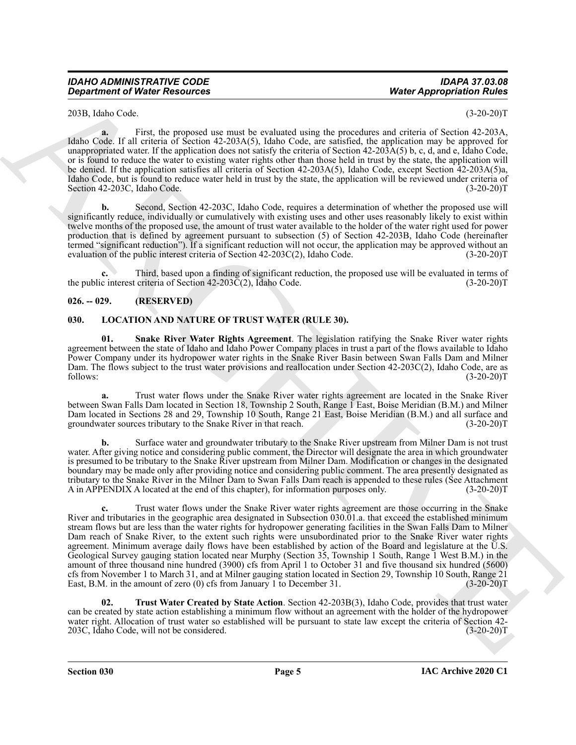203B, Idaho Code. (3-20-20)T

**a.** First, the proposed use must be evaluated using the procedures and criteria of Section 42-203A, Idaho Code. If all criteria of Section 42-203A(5), Idaho Code, are satisfied, the application may be approved for unappropriated water. If the application does not satisfy the criteria of Section 42-203A(5) b, c, d, and e, Idaho Code, or is found to reduce the water to existing water rights other than those held in trust by the state, the application will be denied. If the application satisfies all criteria of Section 42-203A(5), Idaho Code, except Section 42-203A(5)a, Idaho Code, but is found to reduce water held in trust by the state, the application will be reviewed under criteria of Section 42-203C, Idaho Code. (3-20-20)T

**b.** Second, Section 42-203C, Idaho Code, requires a determination of whether the proposed use will significantly reduce, individually or cumulatively with existing uses and other uses reasonably likely to exist within twelve months of the proposed use, the amount of trust water available to the holder of the water right used for power production that is defined by agreement pursuant to subsection (5) of Section 42-203B, Idaho Code (hereinafter termed "significant reduction"). If a significant reduction will not occur, the application may be approved without an evaluation of the public interest criteria of Section 42-203C(2), Idaho Code.  $(3-20-20)$ T

**c.** Third, based upon a finding of significant reduction, the proposed use will be evaluated in terms of the public interest criteria of Section 42-203C(2), Idaho Code. (3-20-20)T

#### <span id="page-4-0"></span>**026. -- 029. (RESERVED)**

#### <span id="page-4-2"></span><span id="page-4-1"></span>**030. LOCATION AND NATURE OF TRUST WATER (RULE 30).**

<span id="page-4-3"></span>**01. Snake River Water Rights Agreement**. The legislation ratifying the Snake River water rights agreement between the state of Idaho and Idaho Power Company places in trust a part of the flows available to Idaho Power Company under its hydropower water rights in the Snake River Basin between Swan Falls Dam and Milner Dam. The flows subject to the trust water provisions and reallocation under Section 42-203C(2), Idaho Code, are as follows: (3-20-20) follows: (3-20-20)T

**a.** Trust water flows under the Snake River water rights agreement are located in the Snake River between Swan Falls Dam located in Section 18, Township 2 South, Range 1 East, Boise Meridian (B.M.) and Milner Dam located in Sections 28 and 29, Township 10 South, Range 21 East, Boise Meridian (B.M.) and all surface and groundwater sources tributary to the Snake River in that reach. (3-20-20)T

**b.** Surface water and groundwater tributary to the Snake River upstream from Milner Dam is not trust water. After giving notice and considering public comment, the Director will designate the area in which groundwater is presumed to be tributary to the Snake River upstream from Milner Dam. Modification or changes in the designated boundary may be made only after providing notice and considering public comment. The area presently designated as tributary to the Snake River in the Milner Dam to Swan Falls Dam reach is appended to these rules (See Attachment A in APPENDIX A located at the end of this chapter), for information purposes only. (3-20-20)T

**Department of Nieter Action results on the translated rate of Perroxima and solution for the Construction of the Construction of the Construction of the Construction of the Construction of the Construction of the Constru c.** Trust water flows under the Snake River water rights agreement are those occurring in the Snake River and tributaries in the geographic area designated in Subsection 030.01.a. that exceed the established minimum stream flows but are less than the water rights for hydropower generating facilities in the Swan Falls Dam to Milner Dam reach of Snake River, to the extent such rights were unsubordinated prior to the Snake River water rights agreement. Minimum average daily flows have been established by action of the Board and legislature at the U.S. Geological Survey gauging station located near Murphy (Section 35, Township 1 South, Range 1 West B.M.) in the amount of three thousand nine hundred (3900) cfs from April 1 to October 31 and five thousand six hundred (5600) cfs from November 1 to March 31, and at Milner gauging station located in Section 29, Township 10 South, Range 21 East, B.M. in the amount of zero (0) cfs from January 1 to December 31. (3-20-20)T

<span id="page-4-4"></span>**02. Trust Water Created by State Action**. Section 42-203B(3), Idaho Code, provides that trust water can be created by state action establishing a minimum flow without an agreement with the holder of the hydropower water right. Allocation of trust water so established will be pursuant to state law except the criteria of Section 42-<br>203C, Idaho Code, will not be considered. (3-20-20) 203C, Idaho Code, will not be considered.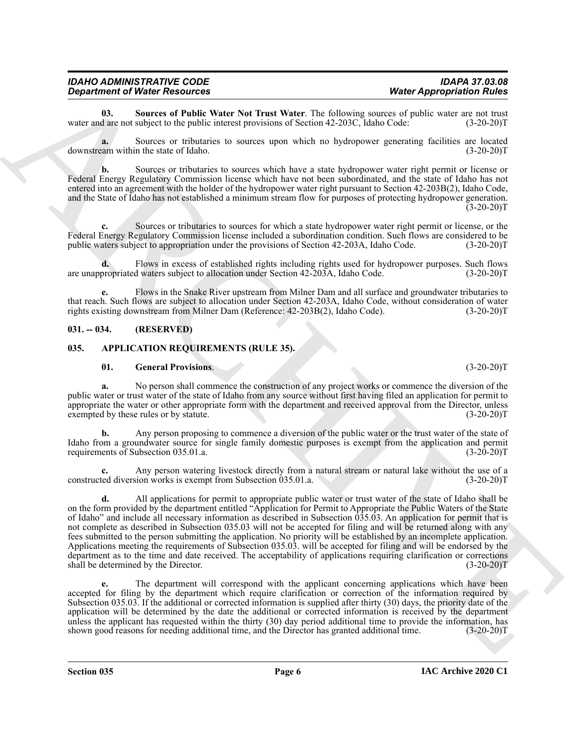<span id="page-5-4"></span>**03.** Sources of Public Water Not Trust Water. The following sources of public water are not trust d are not subject to the public interest provisions of Section 42-203C, Idaho Code: (3-20-20)T water and are not subject to the public interest provisions of Section 42-203C, Idaho Code:

**a.** Sources or tributaries to sources upon which no hydropower generating facilities are located downstream within the state of Idaho. (3-20-20)T

**b.** Sources or tributaries to sources which have a state hydropower water right permit or license or Federal Energy Regulatory Commission license which have not been subordinated, and the state of Idaho has not entered into an agreement with the holder of the hydropower water right pursuant to Section 42-203B(2), Idaho Code, and the State of Idaho has not established a minimum stream flow for purposes of protecting hydropower generation.  $(3-20-20)$ T

**c.** Sources or tributaries to sources for which a state hydropower water right permit or license, or the Federal Energy Regulatory Commission license included a subordination condition. Such flows are considered to be public waters subject to appropriation under the provisions of Section 42-203A, Idaho Code. (3-20-20)T

**d.** Flows in excess of established rights including rights used for hydropower purposes. Such flows are unappropriated waters subject to allocation under Section 42-203A, Idaho Code. (3-20-20)T

**e.** Flows in the Snake River upstream from Milner Dam and all surface and groundwater tributaries to that reach. Such flows are subject to allocation under Section 42-203A, Idaho Code, without consideration of water rights existing downstream from Milner Dam (Reference: 42-203B(2), Idaho Code). (3-20-20)T rights existing downstream from Milner Dam (Reference: 42-203B(2), Idaho Code).

#### <span id="page-5-0"></span>**031. -- 034. (RESERVED)**

#### <span id="page-5-1"></span>**035. APPLICATION REQUIREMENTS (RULE 35).**

#### <span id="page-5-3"></span><span id="page-5-2"></span>**01. General Provisions**. (3-20-20)T

**a.** No person shall commence the construction of any project works or commence the diversion of the public water or trust water of the state of Idaho from any source without first having filed an application for permit to appropriate the water or other appropriate form with the department and received approval from the Director, unless exempted by these rules or by statute. (3-20-20)T

**b.** Any person proposing to commence a diversion of the public water or the trust water of the state of Idaho from a groundwater source for single family domestic purposes is exempt from the application and permit requirements of Subsection 035.01.a.

Any person watering livestock directly from a natural stream or natural lake without the use of a sion works is exempt from Subsection 035.01.a. (3-20-20)<sup>T</sup> constructed diversion works is exempt from Subsection 035.01.a.

*Department of Niceries* Reading the Niceries Research Constraints (September 2013)<br>
was much as the state of Phalic Water Muller (The Relation general of Phalic Phalic Constraints (September 2013)<br>
and the state of Pha **d.** All applications for permit to appropriate public water or trust water of the state of Idaho shall be on the form provided by the department entitled "Application for Permit to Appropriate the Public Waters of the State of Idaho" and include all necessary information as described in Subsection 035.03. An application for permit that is not complete as described in Subsection 035.03 will not be accepted for filing and will be returned along with any fees submitted to the person submitting the application. No priority will be established by an incomplete application. Applications meeting the requirements of Subsection 035.03. will be accepted for filing and will be endorsed by the department as to the time and date received. The acceptability of applications requiring clarification or corrections shall be determined by the Director. (3-20-20) shall be determined by the Director.

**e.** The department will correspond with the applicant concerning applications which have been accepted for filing by the department which require clarification or correction of the information required by Subsection 035.03. If the additional or corrected information is supplied after thirty (30) days, the priority date of the application will be determined by the date the additional or corrected information is received by the department unless the applicant has requested within the thirty (30) day period additional time to provide the information, has shown good reasons for needing additional time, and the Director has granted additional time. (3-20-20)T

**Section 035 Page 6**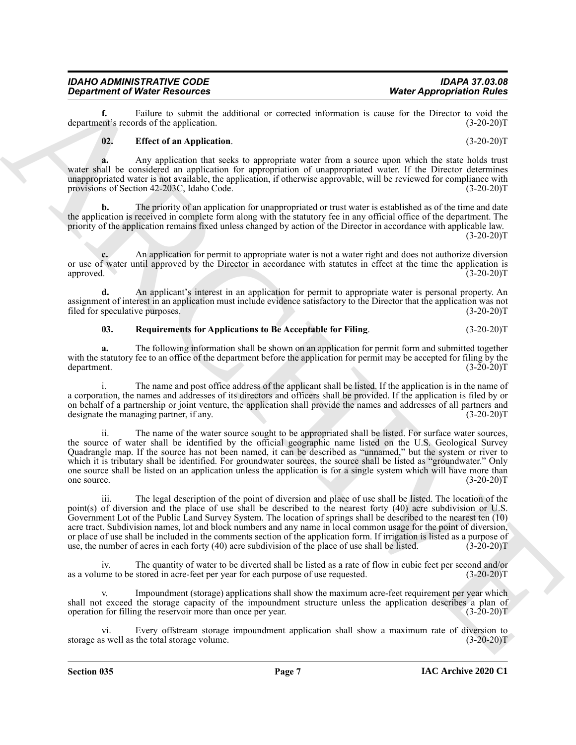**f.** Failure to submit the additional or corrected information is cause for the Director to void the ent's records of the application. (3-20-20) department's records of the application.

# <span id="page-6-0"></span>**02. Effect of an Application**. (3-20-20)T

*Department of Water Resources Water Appropriation Rules*

**a.** Any application that seeks to appropriate water from a source upon which the state holds trust water shall be considered an application for appropriation of unappropriated water. If the Director determines unappropriated water is not available, the application, if otherwise approvable, will be reviewed for compliance with provisions of Section 42-203C, Idaho Code. (3-20-20)T

**b.** The priority of an application for unappropriated or trust water is established as of the time and date the application is received in complete form along with the statutory fee in any official office of the department. The priority of the application remains fixed unless changed by action of the Director in accordance with applicable law.  $(3-20-20)T$ 

**c.** An application for permit to appropriate water is not a water right and does not authorize diversion or use of water until approved by the Director in accordance with statutes in effect at the time the application is approved. **Contract the Contract of the Contract of the Contract of the Contract of the Contract of the Contract of the Contract of the Contract of the Contract of the Contract of the Contract of the Contract of the Contra** 

**d.** An applicant's interest in an application for permit to appropriate water is personal property. An assignment of interest in an application must include evidence satisfactory to the Director that the application was not filed for speculative purposes. (3-20-20) filed for speculative purposes.

# <span id="page-6-1"></span>**03. Requirements for Applications to Be Acceptable for Filing**. (3-20-20)T

**a.** The following information shall be shown on an application for permit form and submitted together with the statutory fee to an office of the department before the application for permit may be accepted for filing by the department. (3-20-20) department. (3-20-20)T

i. The name and post office address of the applicant shall be listed. If the application is in the name of a corporation, the names and addresses of its directors and officers shall be provided. If the application is filed by or on behalf of a partnership or joint venture, the application shall provide the names and addresses of all partners and designate the managing partner, if any. (3-20-20)T

**Considered West Approximation** West Approximation West Approximation Results of the Summary and Approximation Results of the Summary and Approximation Results of the Summary 1973. The considered and properties of the sum ii. The name of the water source sought to be appropriated shall be listed. For surface water sources, the source of water shall be identified by the official geographic name listed on the U.S. Geological Survey Quadrangle map. If the source has not been named, it can be described as "unnamed," but the system or river to which it is tributary shall be identified. For groundwater sources, the source shall be listed as "groundwater." Only one source shall be listed on an application unless the application is for a single system which will have more than<br>
(3-20-20)T one source.  $(3-20-20)T$ 

iii. The legal description of the point of diversion and place of use shall be listed. The location of the point(s) of diversion and the place of use shall be described to the nearest forty (40) acre subdivision or U.S. Government Lot of the Public Land Survey System. The location of springs shall be described to the nearest ten (10) acre tract. Subdivision names, lot and block numbers and any name in local common usage for the point of diversion, or place of use shall be included in the comments section of the application form. If irrigation is listed as a purpose of use, the number of acres in each forty (40) acre subdivision of the place of use shall be listed. (3-20-20)T

iv. The quantity of water to be diverted shall be listed as a rate of flow in cubic feet per second and/or me to be stored in acre-feet per year for each purpose of use requested. (3-20-20) as a volume to be stored in acre-feet per year for each purpose of use requested.

Impoundment (storage) applications shall show the maximum acre-feet requirement per year which shall not exceed the storage capacity of the impoundment structure unless the application describes a plan of operation for filling the reservoir more than once per year. (3-20-20)T

vi. Every offstream storage impoundment application shall show a maximum rate of diversion to storage as well as the total storage volume. (3-20-20)T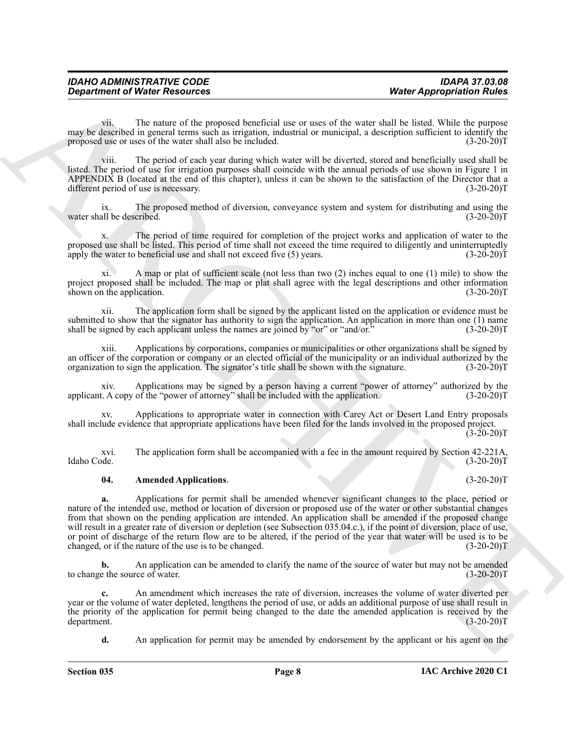vii. The nature of the proposed beneficial use or uses of the water shall be listed. While the purpose may be described in general terms such as irrigation, industrial or municipal, a description sufficient to identify the proposed use or uses of the water shall also be included. (3-20-20) proposed use or uses of the water shall also be included.

viii. The period of each year during which water will be diverted, stored and beneficially used shall be listed. The period of use for irrigation purposes shall coincide with the annual periods of use shown in Figure 1 in APPENDIX B (located at the end of this chapter), unless it can be shown to the satisfaction of the Director that a different period of use is necessary. (3-20-20)T

ix. The proposed method of diversion, conveyance system and system for distributing and using the water shall be described. (3-20-20)T

x. The period of time required for completion of the project works and application of water to the proposed use shall be listed. This period of time shall not exceed the time required to diligently and uninterruptedly apply the water to beneficial use and shall not exceed five (5) years. (3-20-20) apply the water to beneficial use and shall not exceed five  $(5)$  years.

xi. A map or plat of sufficient scale (not less than two (2) inches equal to one (1) mile) to show the project proposed shall be included. The map or plat shall agree with the legal descriptions and other information shown on the application. (3-20-20)T

xii. The application form shall be signed by the applicant listed on the application or evidence must be submitted to show that the signator has authority to sign the application. An application in more than one (1) name shall be signed by each applicant unless the names are joined by "or" or "and/or."  $(3-20-20)T$ 

xiii. Applications by corporations, companies or municipalities or other organizations shall be signed by an officer of the corporation or company or an elected official of the municipality or an individual authorized by the organization to sign the application. The signator's title shall be shown with the signature. (3-20-20) organization to sign the application. The signator's title shall be shown with the signature.

xiv. Applications may be signed by a person having a current "power of attorney" authorized by the t. A copy of the "power of attorney" shall be included with the application. (3-20-20) applicant. A copy of the "power of attorney" shall be included with the application.

Applications to appropriate water in connection with Carey Act or Desert Land Entry proposals shall include evidence that appropriate applications have been filed for the lands involved in the proposed project.  $(3-20-20)$ T

xvi. The application form shall be accompanied with a fee in the amount required by Section 42-221A, Idaho Code. (3-20-20)T

#### <span id="page-7-0"></span>**04. Amended Applications**. (3-20-20)T

**Department of Nicion Resources Went Appropriation Nicion**<br>
The main of the main of the proposed beneficted as or uses of the variety and be the state March Ware in the main of the state of the state of the state of the **a.** Applications for permit shall be amended whenever significant changes to the place, period or nature of the intended use, method or location of diversion or proposed use of the water or other substantial changes from that shown on the pending application are intended. An application shall be amended if the proposed change will result in a greater rate of diversion or depletion (see Subsection 035.04.c.), if the point of diversion, place of use, or point of discharge of the return flow are to be altered, if the period of the year that water will be used is to be changed, or if the nature of the use is to be changed. (3-20-20)T

**b.** An application can be amended to clarify the name of the source of water but may not be amended to the source of water. (3-20-20) to change the source of water.

**c.** An amendment which increases the rate of diversion, increases the volume of water diverted per year or the volume of water depleted, lengthens the period of use, or adds an additional purpose of use shall result in the priority of the application for permit being changed to the date the amended application is received by the department. (3-20-20)T department. (3-20-20)T

**d.** An application for permit may be amended by endorsement by the applicant or his agent on the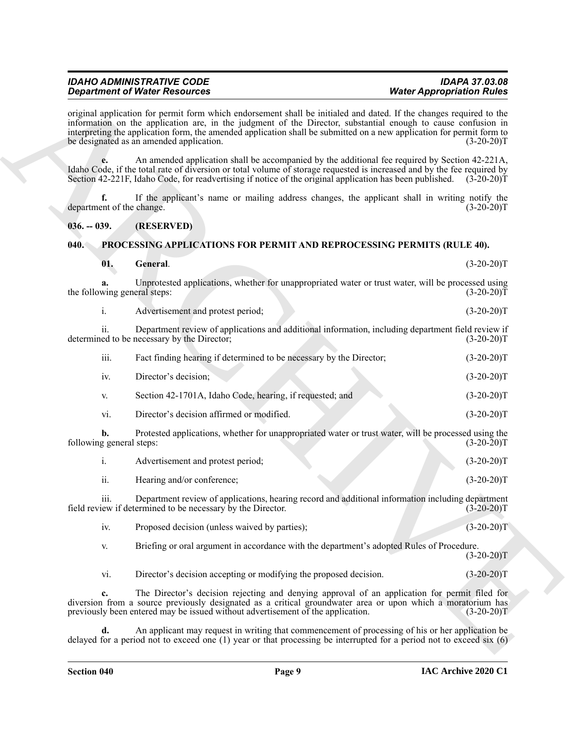| IDAHO ADMINISTRATIVE CODE            |  |
|--------------------------------------|--|
| <b>Department of Water Resources</b> |  |

### <span id="page-8-3"></span><span id="page-8-2"></span><span id="page-8-1"></span><span id="page-8-0"></span>**040. PROCESSING APPLICATIONS FOR PERMIT AND REPROCESSING PERMITS (RULE 40).**

|                                    | <b>Department of Water Resources</b>                                                                                                                                                                                                                                                                                                                                                                      | <b>Water Appropriation Rules</b> |
|------------------------------------|-----------------------------------------------------------------------------------------------------------------------------------------------------------------------------------------------------------------------------------------------------------------------------------------------------------------------------------------------------------------------------------------------------------|----------------------------------|
|                                    | original application for permit form which endorsement shall be initialed and dated. If the changes required to the<br>information on the application are, in the judgment of the Director, substantial enough to cause confusion in<br>interpreting the application form, the amended application shall be submitted on a new application for permit form to<br>be designated as an amended application. | $(3-20-20)T$                     |
| e.                                 | An amended application shall be accompanied by the additional fee required by Section 42-221A,<br>Idaho Code, if the total rate of diversion or total volume of storage requested is increased and by the fee required by<br>Section 42-221F, Idaho Code, for readvertising if notice of the original application has been published. (3-20-20)T                                                          |                                  |
| f.<br>department of the change.    | If the applicant's name or mailing address changes, the applicant shall in writing notify the                                                                                                                                                                                                                                                                                                             | $(3-20-20)T$                     |
| $036. - 039.$                      | (RESERVED)                                                                                                                                                                                                                                                                                                                                                                                                |                                  |
| 040.                               | <b>PROCESSING APPLICATIONS FOR PERMIT AND REPROCESSING PERMITS (RULE 40).</b>                                                                                                                                                                                                                                                                                                                             |                                  |
| 01.                                | General.                                                                                                                                                                                                                                                                                                                                                                                                  | $(3-20-20)T$                     |
| a.<br>the following general steps: | Unprotested applications, whether for unappropriated water or trust water, will be processed using                                                                                                                                                                                                                                                                                                        | $(3-20-20)T$                     |
| i.                                 | Advertisement and protest period;                                                                                                                                                                                                                                                                                                                                                                         | $(3-20-20)T$                     |
| 11.                                | Department review of applications and additional information, including department field review if<br>determined to be necessary by the Director;                                                                                                                                                                                                                                                         | $(3-20-20)T$                     |
| iii.                               | Fact finding hearing if determined to be necessary by the Director;                                                                                                                                                                                                                                                                                                                                       | $(3-20-20)T$                     |
| iv.                                | Director's decision;                                                                                                                                                                                                                                                                                                                                                                                      | $(3-20-20)T$                     |
| V.                                 | Section 42-1701A, Idaho Code, hearing, if requested; and                                                                                                                                                                                                                                                                                                                                                  | $(3-20-20)T$                     |
| vi.                                | Director's decision affirmed or modified.                                                                                                                                                                                                                                                                                                                                                                 | $(3-20-20)T$                     |
| b.<br>following general steps:     | Protested applications, whether for unappropriated water or trust water, will be processed using the                                                                                                                                                                                                                                                                                                      | $(3-20-20)T$                     |
| i.                                 | Advertisement and protest period;                                                                                                                                                                                                                                                                                                                                                                         | $(3-20-20)T$                     |
| ii.                                | Hearing and/or conference;                                                                                                                                                                                                                                                                                                                                                                                | $(3-20-20)T$                     |
| 111.                               | Department review of applications, hearing record and additional information including department<br>field review if determined to be necessary by the Director.                                                                                                                                                                                                                                          | $(3-20-20)T$                     |
| iv.                                | Proposed decision (unless waived by parties);                                                                                                                                                                                                                                                                                                                                                             | $(3-20-20)T$                     |
| V.                                 | Briefing or oral argument in accordance with the department's adopted Rules of Procedure.                                                                                                                                                                                                                                                                                                                 | $(3-20-20)T$                     |
| vi.                                | Director's decision accepting or modifying the proposed decision.                                                                                                                                                                                                                                                                                                                                         | $(3-20-20)T$                     |
| c.                                 | The Director's decision rejecting and denying approval of an application for permit filed for<br>diversion from a source previously designated as a critical groundwater area or upon which a moratorium has<br>previously been entered may be issued without advertisement of the application.                                                                                                           | $(3-20-20)T$                     |
| d.                                 | An applicant may request in writing that commencement of processing of his or her application be<br>delayed for a period not to exceed one (1) year or that processing be interrupted for a period not to exceed six $(6)$                                                                                                                                                                                |                                  |

|               | Advertisement and protest period; | $(3-20-20)T$ |
|---------------|-----------------------------------|--------------|
| $\cdot \cdot$ | Hearing and/or conference:        | $(3-20-20)T$ |

*IDAHO ADMINISTRATIVE CODE IDAPA 37.03.08*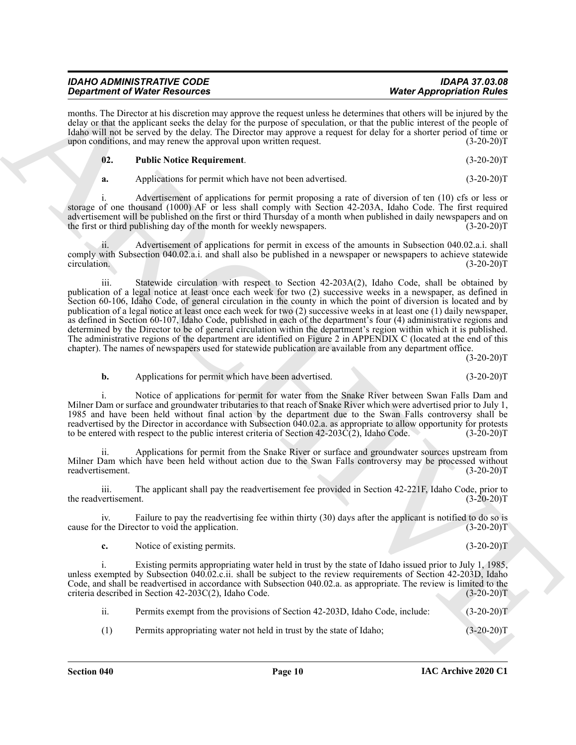| <b>IDAHO ADMINISTRATIVE CODE</b>     | <b>IDAPA 37.03.08</b>            |
|--------------------------------------|----------------------------------|
| <b>Department of Water Resources</b> | <b>Water Appropriation Rules</b> |

months. The Director at his discretion may approve the request unless he determines that others will be injured by the delay or that the applicant seeks the delay for the purpose of speculation, or that the public interest of the people of Idaho will not be served by the delay. The Director may approve a request for delay for a shorter period of time or upon conditions, and may renew the approval upon written request. (3-20-20)T

<span id="page-9-0"></span>

| $\mathbf{02.}$ | <b>Public Notice Requirement.</b> | $(3-20-20)T$ |
|----------------|-----------------------------------|--------------|
|----------------|-----------------------------------|--------------|

**a.** Applications for permit which have not been advertised. (3-20-20)T

i. Advertisement of applications for permit proposing a rate of diversion of ten (10) cfs or less or storage of one thousand (1000) AF or less shall comply with Section 42-203A, Idaho Code. The first required advertisement will be published on the first or third Thursday of a month when published in daily newspapers and on the first or third publishing day of the month for weekly newspapers. (3-20-20) the first or third publishing day of the month for weekly newspapers.

ii. Advertisement of applications for permit in excess of the amounts in Subsection 040.02.a.i. shall comply with Subsection 040.02.a.i. and shall also be published in a newspaper or newspapers to achieve statewide circulation. (3-20-20) circulation. (3-20-20)T

**Structure of Water Securities** control in the species which are the species of Water Mappoission River (1972)<br>
ARCHIVES CONTROL IN THE SECURITE CONTROL IN THE SECURITE CONTROL IN THE SECURITE CONTROL IN THE SECURITE CONT iii. Statewide circulation with respect to Section 42-203A(2), Idaho Code, shall be obtained by publication of a legal notice at least once each week for two (2) successive weeks in a newspaper, as defined in Section 60-106, Idaho Code, of general circulation in the county in which the point of diversion is located and by publication of a legal notice at least once each week for two (2) successive weeks in at least one (1) daily newspaper, as defined in Section 60-107, Idaho Code, published in each of the department's four (4) administrative regions and determined by the Director to be of general circulation within the department's region within which it is published. The administrative regions of the department are identified on Figure 2 in APPENDIX C (located at the end of this chapter). The names of newspapers used for statewide publication are available from any department office.

 $(3-20-20)T$ 

**b.** Applications for permit which have been advertised. (3-20-20)T

i. Notice of applications for permit for water from the Snake River between Swan Falls Dam and Milner Dam or surface and groundwater tributaries to that reach of Snake River which were advertised prior to July 1, 1985 and have been held without final action by the department due to the Swan Falls controversy shall be readvertised by the Director in accordance with Subsection  $040.02$ .a. as appropriate to allow opportunity for protests to be entered with respect to the public interest criteria of Section 42-203C(2), Idaho Code. (3-20-2 to be entered with respect to the public interest criteria of Section  $42-203\hat{C}(2)$ , Idaho Code.

ii. Applications for permit from the Snake River or surface and groundwater sources upstream from Milner Dam which have been held without action due to the Swan Falls controversy may be processed without readvertisement. (3-20-20)T

iii. The applicant shall pay the readvertisement fee provided in Section 42-221F, Idaho Code, prior to the readvertisement. (3-20-20)T

iv. Failure to pay the readvertising fee within thirty (30) days after the applicant is notified to do so is cause for the Director to void the application. (3-20-20)T

**c.** Notice of existing permits. (3-20-20)T

i. Existing permits appropriating water held in trust by the state of Idaho issued prior to July 1, 1985, unless exempted by Subsection 040.02.c.ii. shall be subject to the review requirements of Section 42-203D, Idaho Code, and shall be readvertised in accordance with Subsection 040.02.a. as appropriate. The review is limited to the criteria described in Section 42-203C(2), Idaho Code. (3-20-20)T

ii. Permits exempt from the provisions of Section 42-203D, Idaho Code, include: (3-20-20)T

(1) Permits appropriating water not held in trust by the state of Idaho; (3-20-20)T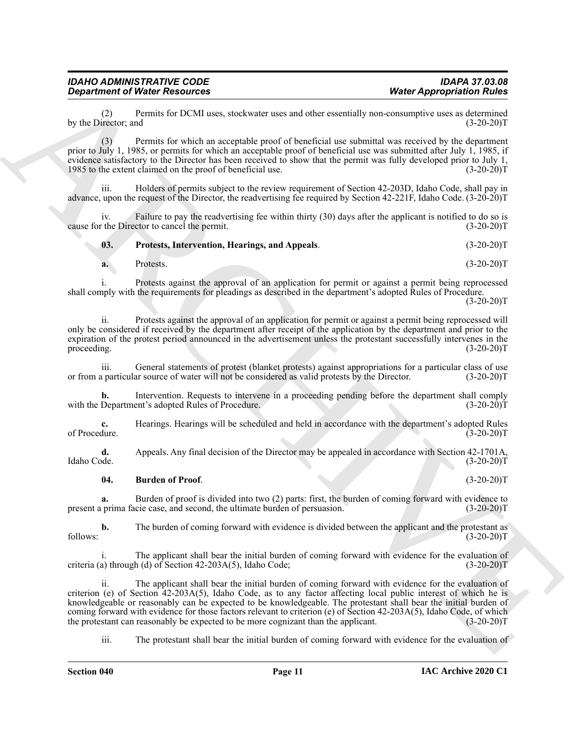(2) Permits for DCMI uses, stockwater uses and other essentially non-consumptive uses as determined by the Director; and

(3) Permits for which an acceptable proof of beneficial use submittal was received by the department prior to July 1, 1985, or permits for which an acceptable proof of beneficial use was submitted after July 1, 1985, if evidence satisfactory to the Director has been received to show that the permit was fully developed prior to July 1, 1985 to the extent claimed on the proof of beneficial use. (3-20-20) 1985 to the extent claimed on the proof of beneficial use.

iii. Holders of permits subject to the review requirement of Section 42-203D, Idaho Code, shall pay in advance, upon the request of the Director, the readvertising fee required by Section 42-221F, Idaho Code. (3-20-20)T

iv. Failure to pay the readvertising fee within thirty (30) days after the applicant is notified to do so is the Director to cancel the permit. (3-20-20) cause for the Director to cancel the permit.

**03. Protests, Intervention, Hearings, and Appeals**. (3-20-20)T

i. Protests against the approval of an application for permit or against a permit being reprocessed shall comply with the requirements for pleadings as described in the department's adopted Rules of Procedure.

 $(3-20-20)T$ 

ii. Protests against the approval of an application for permit or against a permit being reprocessed will only be considered if received by the department after receipt of the application by the department and prior to the expiration of the protest period announced in the advertisement unless the protestant successfully intervenes in the proceeding. (3-20-20) proceeding.  $(3-20-20)T$ 

iii. General statements of protest (blanket protests) against appropriations for a particular class of use<br>a particular source of water will not be considered as valid protests by the Director. (3-20-20)T or from a particular source of water will not be considered as valid protests by the Director.

**b.** Intervention. Requests to intervene in a proceeding pending before the department shall comply Department's adopted Rules of Procedure. (3-20-20) with the Department's adopted Rules of Procedure.

**c.** Hearings. Hearings will be scheduled and held in accordance with the department's adopted Rules of Procedure. (3-20-20)T of Procedure. (3-20-20)T

**d.** Appeals. Any final decision of the Director may be appealed in accordance with Section 42-1701A, Idaho Code. (3-20-20) Idaho Code. (3-20-20)T

#### <span id="page-10-0"></span>**04. Burden of Proof**. (3-20-20)T

**a.** Burden of proof is divided into two (2) parts: first, the burden of coming forward with evidence to present a prima facie case, and second, the ultimate burden of persuasion. (3-20-20)T

**b.** The burden of coming forward with evidence is divided between the applicant and the protestant as (3-20-20)  $f_{\text{follows}}$ : (3-20-20)T

The applicant shall bear the initial burden of coming forward with evidence for the evaluation of h (d) of Section 42-203A(5), Idaho Code;  $(3-20-20)$ T criteria (a) through (d) of Section  $42-203A(5)$ , Idaho Code;

**Considered Weiver Assuments Weiver Assuments Weiver Approximation Example 2011**<br>
Spin  $\frac{1}{2}$  the state line of the BCMI towa, shockward, the state of the state state of the state of the state of the state of the ii. The applicant shall bear the initial burden of coming forward with evidence for the evaluation of criterion (e) of Section 42-203A(5), Idaho Code, as to any factor affecting local public interest of which he is knowledgeable or reasonably can be expected to be knowledgeable. The protestant shall bear the initial burden of coming forward with evidence for those factors relevant to criterion (e) of Section 42-203A(5), Idaho Code, of which<br>the protestant can reasonably be expected to be more cognizant than the applicant. (3-20-20)T the protestant can reasonably be expected to be more cognizant than the applicant.

iii. The protestant shall bear the initial burden of coming forward with evidence for the evaluation of

<span id="page-10-1"></span>**a.** Protests. (3-20-20)T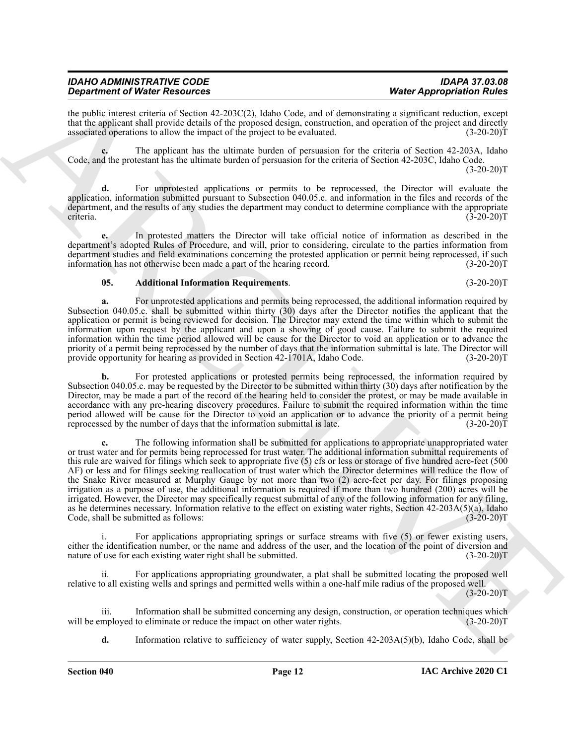| <b>IDAHO ADMINISTRATIVE CODE</b>     | <b>IDAPA 37.03.08</b>            |
|--------------------------------------|----------------------------------|
| <b>Department of Water Resources</b> | <b>Water Appropriation Rules</b> |

the public interest criteria of Section 42-203C(2), Idaho Code, and of demonstrating a significant reduction, except that the applicant shall provide details of the proposed design, construction, and operation of the project and directly associated operations to allow the impact of the project to be evaluated. (3-20-20)T

**c.** The applicant has the ultimate burden of persuasion for the criteria of Section 42-203A, Idaho Code, and the protestant has the ultimate burden of persuasion for the criteria of Section 42-203C, Idaho Code.  $(3-20-20)T$ 

**d.** For unprotested applications or permits to be reprocessed, the Director will evaluate the application, information submitted pursuant to Subsection 040.05.c. and information in the files and records of the department, and the results of any studies the department may conduct to determine compliance with the appropriate criteria. (3-20-20)T

**e.** In protested matters the Director will take official notice of information as described in the department's adopted Rules of Procedure, and will, prior to considering, circulate to the parties information from department studies and field examinations concerning the protested application or permit being reprocessed, if such information has not otherwise been made a part of the hearing record. (3-20-20) information has not otherwise been made a part of the hearing record.

#### <span id="page-11-0"></span>**05. Additional Information Requirements**. (3-20-20)T

**a.** For unprotested applications and permits being reprocessed, the additional information required by Subsection 040.05.c. shall be submitted within thirty (30) days after the Director notifies the applicant that the application or permit is being reviewed for decision. The Director may extend the time within which to submit the information upon request by the applicant and upon a showing of good cause. Failure to submit the required information within the time period allowed will be cause for the Director to void an application or to advance the priority of a permit being reprocessed by the number of days that the information submittal is late. The Director will provide opportunity for hearing as provided in Section 42-1701A, Idaho Code. (3-20-20)T

**b.** For protested applications or protested permits being reprocessed, the information required by Subsection 040.05.c. may be requested by the Director to be submitted within thirty (30) days after notification by the Director, may be made a part of the record of the hearing held to consider the protest, or may be made available in accordance with any pre-hearing discovery procedures. Failure to submit the required information within the time period allowed will be cause for the Director to void an application or to advance the priority of a permit being reprocessed by the number of days that the information submittal is late. (3-20-20)T

**Statistics of New Processor Constraints of New York 2000 and the Space Constraints of New York 2000 and the Space Constraints of New York 2000 and the Space Constraints of New York 2000 and the Space Constraints of New Y c.** The following information shall be submitted for applications to appropriate unappropriated water or trust water and for permits being reprocessed for trust water. The additional information submittal requirements of this rule are waived for filings which seek to appropriate five (5) cfs or less or storage of five hundred acre-feet (500 AF) or less and for filings seeking reallocation of trust water which the Director determines will reduce the flow of the Snake River measured at Murphy Gauge by not more than two (2) acre-feet per day. For filings proposing irrigation as a purpose of use, the additional information is required if more than two hundred (200) acres will be irrigated. However, the Director may specifically request submittal of any of the following information for any filing, as he determines necessary. Information relative to the effect on existing water rights, Section 42-203A(5)(a), Idaho Code, shall be submitted as follows: (3-20-20)T

i. For applications appropriating springs or surface streams with five (5) or fewer existing users, either the identification number, or the name and address of the user, and the location of the point of diversion and nature of use for each existing water right shall be submitted. (3-20-20)T

For applications appropriating groundwater, a plat shall be submitted locating the proposed well relative to all existing wells and springs and permitted wells within a one-half mile radius of the proposed well.

 $(3-20-20)T$ 

iii. Information shall be submitted concerning any design, construction, or operation techniques which mployed to eliminate or reduce the impact on other water rights. (3-20-20) will be employed to eliminate or reduce the impact on other water rights.

**d.** Information relative to sufficiency of water supply, Section 42-203A(5)(b), Idaho Code, shall be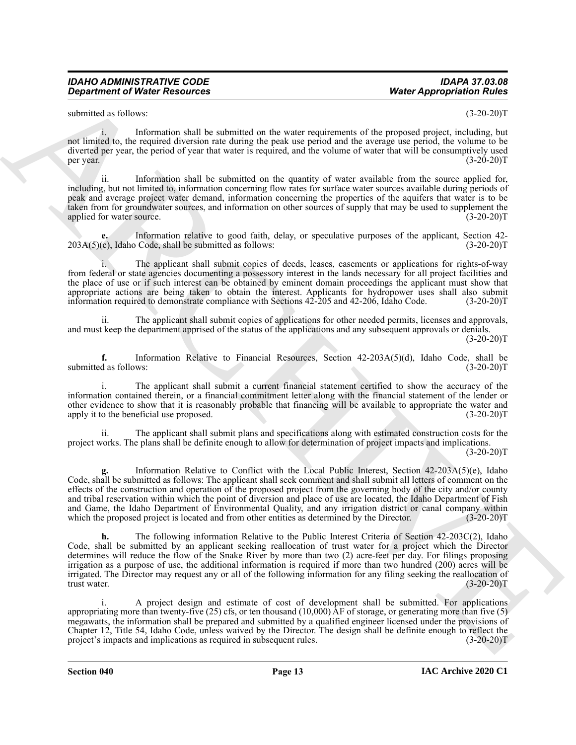submitted as follows: (3-20-20)T

i. Information shall be submitted on the water requirements of the proposed project, including, but not limited to, the required diversion rate during the peak use period and the average use period, the volume to be diverted per year, the period of year that water is required, and the volume of water that will be consumptively used per year.  $(3-20-20)T$ 

ii. Information shall be submitted on the quantity of water available from the source applied for, including, but not limited to, information concerning flow rates for surface water sources available during periods of peak and average project water demand, information concerning the properties of the aquifers that water is to be taken from for groundwater sources, and information on other sources of supply that may be used to supplement the applied for water source. (3-20-20)T

**e.** Information relative to good faith, delay, or speculative purposes of the applicant, Section 42-  $203A(5)(c)$ , Idaho Code, shall be submitted as follows: (3-20-20)T

i. The applicant shall submit copies of deeds, leases, easements or applications for rights-of-way from federal or state agencies documenting a possessory interest in the lands necessary for all project facilities and the place of use or if such interest can be obtained by eminent domain proceedings the applicant must show that appropriate actions are being taken to obtain the interest. Applicants for hydropower uses shall also submit information required to demonstrate compliance with Sections 42-205 and 42-206, Idaho Code. (3-20-20)T

ii. The applicant shall submit copies of applications for other needed permits, licenses and approvals, and must keep the department apprised of the status of the applications and any subsequent approvals or denials.  $(3-20-20)T$ 

**f.** Information Relative to Financial Resources, Section 42-203A(5)(d), Idaho Code, shall be d as follows: (3-20-20)T submitted as follows:

i. The applicant shall submit a current financial statement certified to show the accuracy of the information contained therein, or a financial commitment letter along with the financial statement of the lender or other evidence to show that it is reasonably probable that financing will be available to appropriate the water and apply it to the beneficial use proposed. (3-20-20)T

ii. The applicant shall submit plans and specifications along with estimated construction costs for the project works. The plans shall be definite enough to allow for determination of project impacts and implications.

 $(3-20-20)T$ 

**g.** Information Relative to Conflict with the Local Public Interest, Section 42-203A(5)(e), Idaho Code, shall be submitted as follows: The applicant shall seek comment and shall submit all letters of comment on the effects of the construction and operation of the proposed project from the governing body of the city and/or county and tribal reservation within which the point of diversion and place of use are located, the Idaho Department of Fish and Game, the Idaho Department of Environmental Quality, and any irrigation district or canal company within which the proposed project is located and from other entities as determined by the Director. (3-20-20) which the proposed project is located and from other entities as determined by the Director.

**Department of Ninter Resources** (Material problems) What Appropriation Rivers of the system of the system of the system of the system of the system of the system of the system of the system of the system of the system of **h.** The following information Relative to the Public Interest Criteria of Section 42-203C(2), Idaho Code, shall be submitted by an applicant seeking reallocation of trust water for a project which the Director determines will reduce the flow of the Snake River by more than two (2) acre-feet per day. For filings proposing irrigation as a purpose of use, the additional information is required if more than two hundred (200) acres will be irrigated. The Director may request any or all of the following information for any filing seeking the reallocation of trust water. (3-20-20)T

i. A project design and estimate of cost of development shall be submitted. For applications appropriating more than twenty-five (25) cfs, or ten thousand (10,000) AF of storage, or generating more than five (5) megawatts, the information shall be prepared and submitted by a qualified engineer licensed under the provisions of Chapter 12, Title 54, Idaho Code, unless waived by the Director. The design shall be definite enough to reflect the project's impacts and implications as required in subsequent rules. (3-20-20)T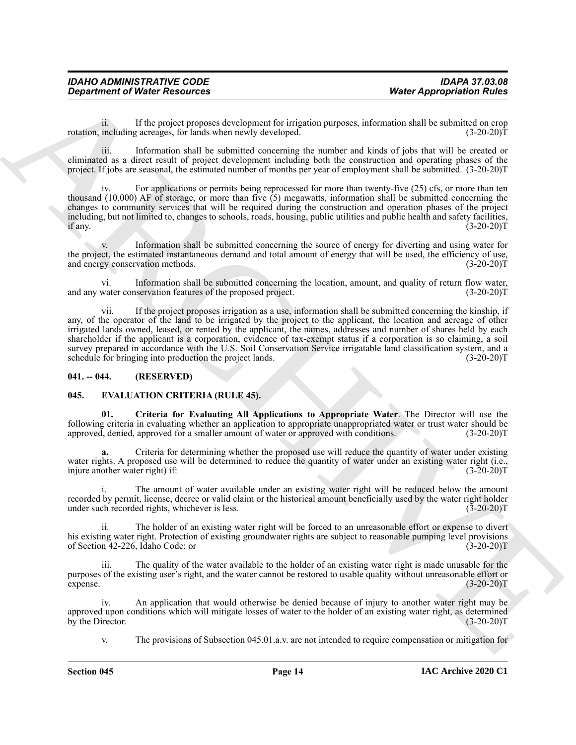| <b>IDAHO ADMINISTRATIVE CODE</b>     | <b>IDAPA 37.03.08</b>            |
|--------------------------------------|----------------------------------|
| <b>Department of Water Resources</b> | <b>Water Appropriation Rules</b> |

ii. If the project proposes development for irrigation purposes, information shall be submitted on crop rotation, including acreages, for lands when newly developed. (3-20-20)<sup>T</sup> (3-20-20)<sup>T</sup>

iii. Information shall be submitted concerning the number and kinds of jobs that will be created or eliminated as a direct result of project development including both the construction and operating phases of the project. If jobs are seasonal, the estimated number of months per year of employment shall be submitted. (3-20-20)T

iv. For applications or permits being reprocessed for more than twenty-five (25) cfs, or more than ten thousand (10,000) AF of storage, or more than five (5) megawatts, information shall be submitted concerning the changes to community services that will be required during the construction and operation phases of the project including, but not limited to, changes to schools, roads, housing, public utilities and public health and safety facilities, if any. if any.  $(3-20-20)T$ 

Information shall be submitted concerning the source of energy for diverting and using water for the project, the estimated instantaneous demand and total amount of energy that will be used, the efficiency of use, and energy conservation methods. (3-20-20)T

vi. Information shall be submitted concerning the location, amount, and quality of return flow water, and any water conservation features of the proposed project.

*Department of Ninter Resources MARCHIVES* **<b>***MARCHIVES III MARCHIVES III MARCHIVES <b>CONTINUES <i>MARCHIVES III MARCHIVES <b>CONTINUES <i>MARCHIVES <b>CONTINUES MARCHIVES III MARCHIVES <b>CONTINUES* vii. If the project proposes irrigation as a use, information shall be submitted concerning the kinship, if any, of the operator of the land to be irrigated by the project to the applicant, the location and acreage of other irrigated lands owned, leased, or rented by the applicant, the names, addresses and number of shares held by each shareholder if the applicant is a corporation, evidence of tax-exempt status if a corporation is so claiming, a soil survey prepared in accordance with the U.S. Soil Conservation Service irrigatable land classification system, and a schedule for bringing into production the project lands. (3-20-20)T

#### <span id="page-13-0"></span>**041. -- 044. (RESERVED)**

#### <span id="page-13-2"></span><span id="page-13-1"></span>**045. EVALUATION CRITERIA (RULE 45).**

<span id="page-13-3"></span>**01. Criteria for Evaluating All Applications to Appropriate Water**. The Director will use the following criteria in evaluating whether an application to appropriate unappropriated water or trust water should be approved, denied, approved for a smaller amount of water or approved with conditions. (3-20-20) approved, denied, approved for a smaller amount of water or approved with conditions.

**a.** Criteria for determining whether the proposed use will reduce the quantity of water under existing water rights. A proposed use will be determined to reduce the quantity of water under an existing water right (i.e., injure another water right) if: (3-20-20)T

The amount of water available under an existing water right will be reduced below the amount recorded by permit, license, decree or valid claim or the historical amount beneficially used by the water right holder under such recorded rights, whichever is less. (3-20-20)T

ii. The holder of an existing water right will be forced to an unreasonable effort or expense to divert his existing water right. Protection of existing groundwater rights are subject to reasonable pumping level provisions of Section 42-226, Idaho Code; or (3-20-20)T

iii. The quality of the water available to the holder of an existing water right is made unusable for the purposes of the existing user's right, and the water cannot be restored to usable quality without unreasonable effort or  $\epsilon$  expense. (3-20-20)T

iv. An application that would otherwise be denied because of injury to another water right may be approved upon conditions which will mitigate losses of water to the holder of an existing water right, as determined<br>(3-20-20)T by the Director.

v. The provisions of Subsection 045.01.a.v. are not intended to require compensation or mitigation for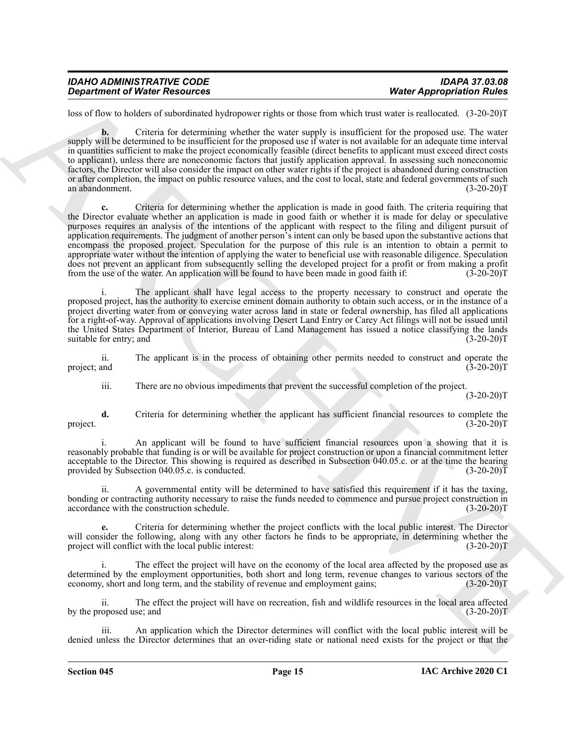| <b>IDAHO ADMINISTRATIVE CODE</b>     | <b>IDAPA 37.03.08</b>            |
|--------------------------------------|----------------------------------|
| <b>Department of Water Resources</b> | <b>Water Appropriation Rules</b> |

loss of flow to holders of subordinated hydropower rights or those from which trust water is reallocated. (3-20-20)T

**b.** Criteria for determining whether the water supply is insufficient for the proposed use. The water supply will be determined to be insufficient for the proposed use if water is not available for an adequate time interval in quantities sufficient to make the project economically feasible (direct benefits to applicant must exceed direct costs to applicant), unless there are noneconomic factors that justify application approval. In assessing such noneconomic factors, the Director will also consider the impact on other water rights if the project is abandoned during construction or after completion, the impact on public resource values, and the cost to local, state and federal governments of such an abandonment. (3-20-20)T

**Department of Nices Accounts of the state of the state and the state of proposition River Control in the state of the state of the state of the state of the state of the state of the state of the state of the state of th c.** Criteria for determining whether the application is made in good faith. The criteria requiring that the Director evaluate whether an application is made in good faith or whether it is made for delay or speculative purposes requires an analysis of the intentions of the applicant with respect to the filing and diligent pursuit of application requirements. The judgment of another person's intent can only be based upon the substantive actions that encompass the proposed project. Speculation for the purpose of this rule is an intention to obtain a permit to appropriate water without the intention of applying the water to beneficial use with reasonable diligence. Speculation does not prevent an applicant from subsequently selling the developed project for a profit or from making a profit from the use of the water. An application will be found to have been made in good faith if: (3-20-20)T

The applicant shall have legal access to the property necessary to construct and operate the proposed project, has the authority to exercise eminent domain authority to obtain such access, or in the instance of a project diverting water from or conveying water across land in state or federal ownership, has filed all applications for a right-of-way. Approval of applications involving Desert Land Entry or Carey Act filings will not be issued until the United States Department of Interior, Bureau of Land Management has issued a notice classifying the lands suitable for entry; and (3-20-20)T

ii. The applicant is in the process of obtaining other permits needed to construct and operate the project; and (3-20-20)T

iii. There are no obvious impediments that prevent the successful completion of the project.

 $(3-20-20)T$ 

**d.** Criteria for determining whether the applicant has sufficient financial resources to complete the project. (3-20-20)T

i. An applicant will be found to have sufficient financial resources upon a showing that it is reasonably probable that funding is or will be available for project construction or upon a financial commitment letter acceptable to the Director. This showing is required as described in Subsection 040.05.c. or at the time the hearing provided by Subsection 040.05.c. is conducted. (3-20-20) T

ii. A governmental entity will be determined to have satisfied this requirement if it has the taxing, bonding or contracting authority necessary to raise the funds needed to commence and pursue project construction in accordance with the construction schedule. (3-20-20)T

**e.** Criteria for determining whether the project conflicts with the local public interest. The Director will consider the following, along with any other factors he finds to be appropriate, in determining whether the project will conflict with the local public interest: (3-20-20)T

The effect the project will have on the economy of the local area affected by the proposed use as determined by the employment opportunities, both short and long term, revenue changes to various sectors of the economy, short and long term, and the stability of revenue and employment gains; (3-20-20)T

ii. The effect the project will have on recreation, fish and wildlife resources in the local area affected by the proposed use; and (3-20-20)T

An application which the Director determines will conflict with the local public interest will be denied unless the Director determines that an over-riding state or national need exists for the project or that the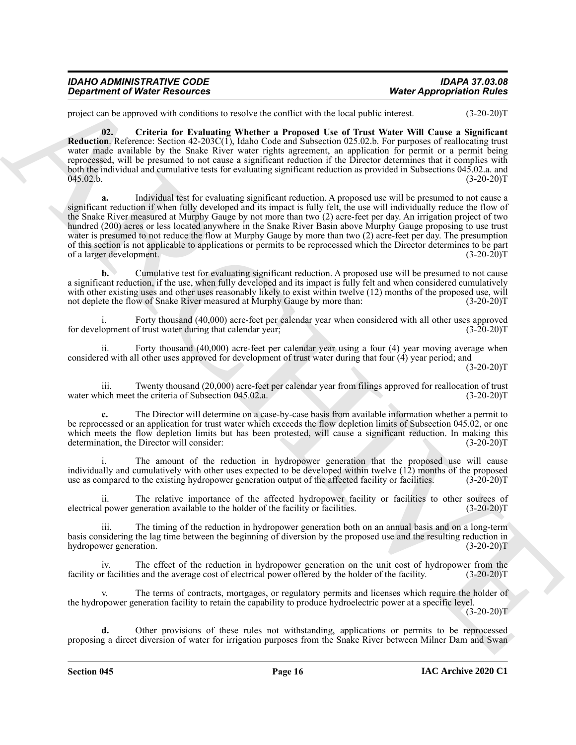| <b>IDAHO ADMINISTRATIVE CODE</b>     | <b>IDAPA 37.03.08</b>            |
|--------------------------------------|----------------------------------|
| <b>Department of Water Resources</b> | <b>Water Appropriation Rules</b> |

<span id="page-15-0"></span>project can be approved with conditions to resolve the conflict with the local public interest. (3-20-20)T

**02. Criteria for Evaluating Whether a Proposed Use of Trust Water Will Cause a Significant Reduction**. Reference: Section 42-203C(1), Idaho Code and Subsection 025.02.b. For purposes of reallocating trust water made available by the Snake River water rights agreement, an application for permit or a permit being reprocessed, will be presumed to not cause a significant reduction if the Director determines that it complies with both the individual and cumulative tests for evaluating significant reduction as provided in Subsections 045.02.a. and<br>(3-20-20)  $045.02 \text{ b}.$  (3-20-20)T

**Department of Nice-Resources West Appropriation Nice-Resources West Approximation Nice-**<br>
Figure and sources the state of the state of the state of the state of the state of the state of the state of the state of the **a.** Individual test for evaluating significant reduction. A proposed use will be presumed to not cause a significant reduction if when fully developed and its impact is fully felt, the use will individually reduce the flow of the Snake River measured at Murphy Gauge by not more than two (2) acre-feet per day. An irrigation project of two hundred (200) acres or less located anywhere in the Snake River Basin above Murphy Gauge proposing to use trust water is presumed to not reduce the flow at Murphy Gauge by more than two (2) acre-feet per day. The presumption of this section is not applicable to applications or permits to be reprocessed which the Director determines to be part of a larger development. (3-20-20) of a larger development.

**b.** Cumulative test for evaluating significant reduction. A proposed use will be presumed to not cause a significant reduction, if the use, when fully developed and its impact is fully felt and when considered cumulatively with other existing uses and other uses reasonably likely to exist within twelve (12) months of the proposed use, will not deplete the flow of Snake River measured at Murphy Gauge by more than: (3-20-20)T

Forty thousand (40,000) acre-feet per calendar year when considered with all other uses approved for development of trust water during that calendar year; (3-20-20)T

ii. Forty thousand (40,000) acre-feet per calendar year using a four (4) year moving average when considered with all other uses approved for development of trust water during that four (4) year period; and  $(3-20-20)T$ 

iii. Twenty thousand (20,000) acre-feet per calendar year from filings approved for reallocation of trust inch meet the criteria of Subsection 045.02.a. (3-20-20) water which meet the criteria of Subsection 045.02.a.

**c.** The Director will determine on a case-by-case basis from available information whether a permit to be reprocessed or an application for trust water which exceeds the flow depletion limits of Subsection 045.02, or one which meets the flow depletion limits but has been protested, will cause a significant reduction. In making this determination, the Director will consider: (3-20-20)T

The amount of the reduction in hydropower generation that the proposed use will cause individually and cumulatively with other uses expected to be developed within twelve  $(12)$  months of the proposed use as compared to the existing hydropower generation output of the affected facility or facilities.  $(3-2$ use as compared to the existing hydropower generation output of the affected facility or facilities.

ii. The relative importance of the affected hydropower facility or facilities to other sources of electrical power generation available to the holder of the facility or facilities. (3-20-20)T

iii. The timing of the reduction in hydropower generation both on an annual basis and on a long-term basis considering the lag time between the beginning of diversion by the proposed use and the resulting reduction in hydropower generation. (3-20-20)T

iv. The effect of the reduction in hydropower generation on the unit cost of hydropower from the in facilities and the average cost of electrical power offered by the holder of the facility. (3-20-20) facility or facilities and the average cost of electrical power offered by the holder of the facility.

The terms of contracts, mortgages, or regulatory permits and licenses which require the holder of the hydropower generation facility to retain the capability to produce hydroelectric power at a specific level.

 $(3-20-20)T$ 

**d.** Other provisions of these rules not withstanding, applications or permits to be reprocessed proposing a direct diversion of water for irrigation purposes from the Snake River between Milner Dam and Swan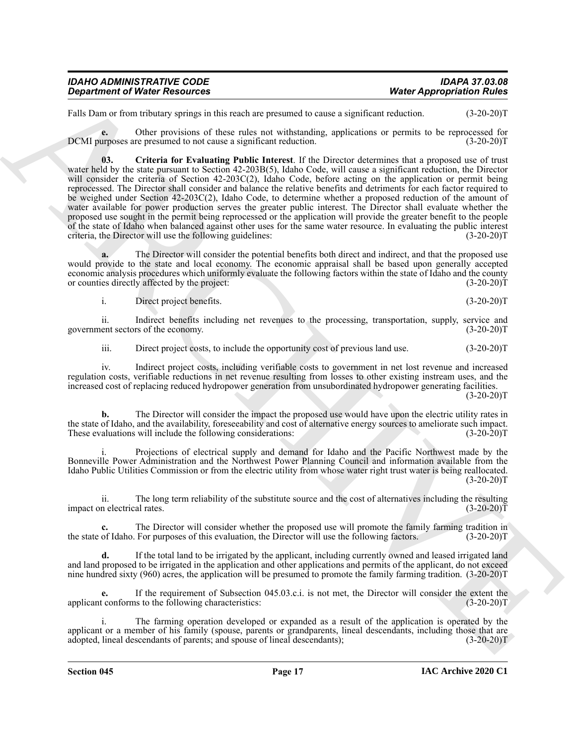| <b>IDAHO ADMINISTRATIVE CODE</b>     | <b>IDAPA 37.03.08</b>            |
|--------------------------------------|----------------------------------|
| <b>Department of Water Resources</b> | <b>Water Appropriation Rules</b> |

Falls Dam or from tributary springs in this reach are presumed to cause a significant reduction. (3-20-20) T

<span id="page-16-0"></span>**e.** Other provisions of these rules not withstanding, applications or permits to be reprocessed for urboses are presumed to not cause a significant reduction. (3-20-20) DCMI purposes are presumed to not cause a significant reduction.

**Construent of Nicele Resources<br>
Figure 3.1 The transformation of these ends on the station presentation of the later of the stationary and the stationary and the stationary and the stationary and the stationary and the s 03. Criteria for Evaluating Public Interest**. If the Director determines that a proposed use of trust water held by the state pursuant to Section 42-203B(5), Idaho Code, will cause a significant reduction, the Director will consider the criteria of Section 42-203C(2), Idaho Code, before acting on the application or permit being reprocessed. The Director shall consider and balance the relative benefits and detriments for each factor required to be weighed under Section 42-203C(2), Idaho Code, to determine whether a proposed reduction of the amount of water available for power production serves the greater public interest. The Director shall evaluate whether the proposed use sought in the permit being reprocessed or the application will provide the greater benefit to the people of the state of Idaho when balanced against other uses for the same water resource. In evaluating the public interest criteria, the Director will use the following guidelines: (3-20-20)T

The Director will consider the potential benefits both direct and indirect, and that the proposed use would provide to the state and local economy. The economic appraisal shall be based upon generally accepted economic analysis procedures which uniformly evaluate the following factors within the state of Idaho and the county or counties directly affected by the project: (3-20-20)T

i. Direct project benefits. (3-20-20)T

ii. Indirect benefits including net revenues to the processing, transportation, supply, service and government sectors of the economy. (3-20-20)T

iii. Direct project costs, to include the opportunity cost of previous land use. (3-20-20)T

iv. Indirect project costs, including verifiable costs to government in net lost revenue and increased regulation costs, verifiable reductions in net revenue resulting from losses to other existing instream uses, and the increased cost of replacing reduced hydropower generation from unsubordinated hydropower generating facilities.  $(3-20-20)T$ 

**b.** The Director will consider the impact the proposed use would have upon the electric utility rates in the state of Idaho, and the availability, foreseeability and cost of alternative energy sources to ameliorate such impact.<br>These evaluations will include the following considerations: (3-20-20) These evaluations will include the following considerations:

Projections of electrical supply and demand for Idaho and the Pacific Northwest made by the Bonneville Power Administration and the Northwest Power Planning Council and information available from the Idaho Public Utilities Commission or from the electric utility from whose water right trust water is being reallocated.  $(3-20-20)T$ 

ii. The long term reliability of the substitute source and the cost of alternatives including the resulting impact on electrical rates. (3-20-20)T

The Director will consider whether the proposed use will promote the family farming tradition in For purposes of this evaluation, the Director will use the following factors. (3-20-20)T the state of Idaho. For purposes of this evaluation, the Director will use the following factors.

**d.** If the total land to be irrigated by the applicant, including currently owned and leased irrigated land and land proposed to be irrigated in the application and other applications and permits of the applicant, do not exceed nine hundred sixty (960) acres, the application will be presumed to promote the family farming tradition. (3-20-20)T

**e.** If the requirement of Subsection 045.03.c.i. is not met, the Director will consider the extent the applicant conforms to the following characteristics: (3-20-20)T

i. The farming operation developed or expanded as a result of the application is operated by the applicant or a member of his family (spouse, parents or grandparents, lineal descendants, including those that are adopted, lineal descendants of parents; and spouse of lineal descendants); (3-20-20)T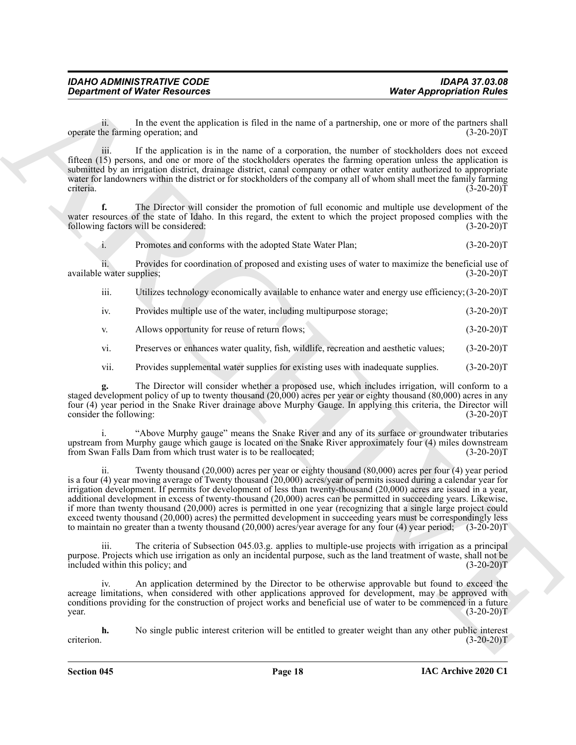ii. In the event the application is filed in the name of a partnership, one or more of the partners shall operate the farming operation; and (3-20-20)T

iii. If the application is in the name of a corporation, the number of stockholders does not exceed fifteen (15) persons, and one or more of the stockholders operates the farming operation unless the application is submitted by an irrigation district, drainage district, canal company or other water entity authorized to appropriate water for landowners within the district or for stockholders of the company all of whom shall meet the family farming criteria. (3-20-20)T

**f.** The Director will consider the promotion of full economic and multiple use development of the water resources of the state of Idaho. In this regard, the extent to which the project proposed complies with the following factors will be considered: (3-20-20) following factors will be considered:

i. Promotes and conforms with the adopted State Water Plan; (3-20-20)T

ii. Provides for coordination of proposed and existing uses of water to maximize the beneficial use of available water supplies; (3-20-20)T

iii. Utilizes technology economically available to enhance water and energy use efficiency;(3-20-20)T

iv. Provides multiple use of the water, including multipurpose storage; (3-20-20)T

v. Allows opportunity for reuse of return flows; (3-20-20)T

vi. Preserves or enhances water quality, fish, wildlife, recreation and aesthetic values; (3-20-20)T

vii. Provides supplemental water supplies for existing uses with inadequate supplies. (3-20-20)T

**g.** The Director will consider whether a proposed use, which includes irrigation, will conform to a staged development policy of up to twenty thousand (20,000) acres per year or eighty thousand (80,000) acres in any four (4) year period in the Snake River drainage above Murphy Gauge. In applying this criteria, the Director will consider the following: (3-20-20)T

i. "Above Murphy gauge" means the Snake River and any of its surface or groundwater tributaries upstream from Murphy gauge which gauge is located on the Snake River approximately four (4) miles downstream from Swan Falls Dam from which trust water is to be reallocated; (3-20-20)T

**Department of Ninter Resources West Appropriation Rules West Appropriation Rules**<br>
Space the strong technical propriation is the line is must of a perturbation, the must of the propriation Rules<br>
Archives the applica Twenty thousand (20,000) acres per year or eighty thousand (80,000) acres per four (4) year period is a four (4) year moving average of Twenty thousand (20,000) acres/year of permits issued during a calendar year for irrigation development. If permits for development of less than twenty-thousand (20,000) acres are issued in a year, additional development in excess of twenty-thousand (20,000) acres can be permitted in succeeding years. Likewise, if more than twenty thousand (20,000) acres is permitted in one year (recognizing that a single large project could exceed twenty thousand (20,000) acres) the permitted development in succeeding years must be correspondingly less to maintain no greater than a twenty thousand (20,000) acres/year average for any four (4) year period; (3-20-20)T

iii. The criteria of Subsection 045.03.g. applies to multiple-use projects with irrigation as a principal purpose. Projects which use irrigation as only an incidental purpose, such as the land treatment of waste, shall not be included within this policy; and (3-20-20)T

iv. An application determined by the Director to be otherwise approvable but found to exceed the acreage limitations, when considered with other applications approved for development, may be approved with conditions providing for the construction of project works and beneficial use of water to be commenced in a future  $\mu$  year. (3-20-20)T

**h.** No single public interest criterion will be entitled to greater weight than any other public interest criterion.  $(3-20-20)T$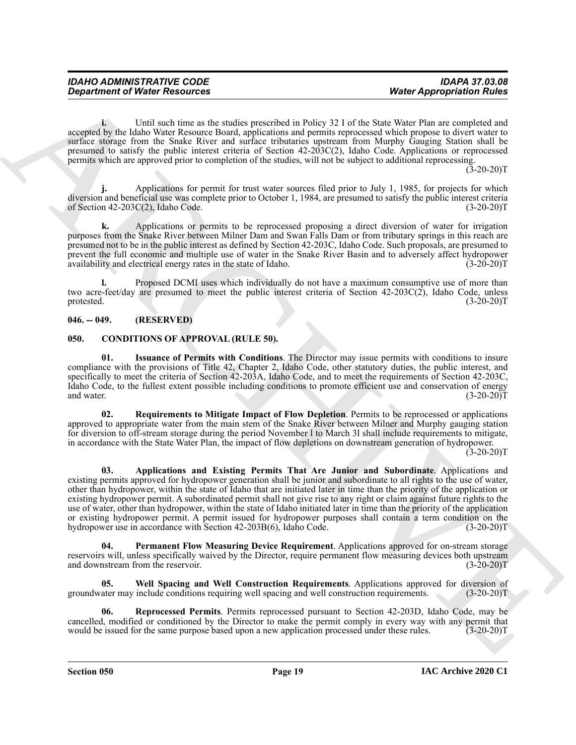**i.** Until such time as the studies prescribed in Policy 32 I of the State Water Plan are completed and accepted by the Idaho Water Resource Board, applications and permits reprocessed which propose to divert water to surface storage from the Snake River and surface tributaries upstream from Murphy Gauging Station shall be presumed to satisfy the public interest criteria of Section 42-203C(2), Idaho Code. Applications or reprocessed permits which are approved prior to completion of the studies, will not be subject to additional reprocessing.

 $(3-20-20)$ T

**j.** Applications for permit for trust water sources filed prior to July 1, 1985, for projects for which diversion and beneficial use was complete prior to October 1, 1984, are presumed to satisfy the public interest criteria of Section  $42-203C(2)$ , Idaho Code. (3-20-20)T

**k.** Applications or permits to be reprocessed proposing a direct diversion of water for irrigation purposes from the Snake River between Milner Dam and Swan Falls Dam or from tributary springs in this reach are presumed not to be in the public interest as defined by Section 42-203C, Idaho Code. Such proposals, are presumed to prevent the full economic and multiple use of water in the Snake River Basin and to adversely affect hydropower availability and electrical energy rates in the state of Idaho. (3-20-20) availability and electrical energy rates in the state of Idaho.

**l.** Proposed DCMI uses which individually do not have a maximum consumptive use of more than two acre-feet/day are presumed to meet the public interest criteria of Section 42-203C(2), Idaho Code, unless protested. (3-20-20)T

#### <span id="page-18-0"></span>**046. -- 049. (RESERVED)**

#### <span id="page-18-2"></span><span id="page-18-1"></span>**050. CONDITIONS OF APPROVAL (RULE 50).**

<span id="page-18-4"></span>**01. Issuance of Permits with Conditions**. The Director may issue permits with conditions to insure compliance with the provisions of Title 42, Chapter 2, Idaho Code, other statutory duties, the public interest, and specifically to meet the criteria of Section 42-203A, Idaho Code, and to meet the requirements of Section 42-203C, Idaho Code, to the fullest extent possible including conditions to promote efficient use and conservation of energy and water. (3-20-20) and water.  $(3-20-20)$ T

<span id="page-18-6"></span><span id="page-18-3"></span>**02. Requirements to Mitigate Impact of Flow Depletion**. Permits to be reprocessed or applications approved to appropriate water from the main stem of the Snake River between Milner and Murphy gauging station for diversion to off-stream storage during the period November l to March 3l shall include requirements to mitigate, in accordance with the State Water Plan, the impact of flow depletions on downstream generation of hydropower.

 $(3-20-20)$ T

**Constrained of Ninter Resources 100** (West Appropriation Point 2.1 and the system of the system of the system of the system of the system of the system of the system of the system of the system of the system of the syste **03. Applications and Existing Permits That Are Junior and Subordinate**. Applications and existing permits approved for hydropower generation shall be junior and subordinate to all rights to the use of water, other than hydropower, within the state of Idaho that are initiated later in time than the priority of the application or existing hydropower permit. A subordinated permit shall not give rise to any right or claim against future rights to the use of water, other than hydropower, within the state of Idaho initiated later in time than the priority of the application or existing hydropower permit. A permit issued for hydropower purposes shall contain a term condition on the hydropower use in accordance with Section 42-203B(6), Idaho Code. (3-20-20)T

<span id="page-18-8"></span>**Permanent Flow Measuring Device Requirement**. Applications approved for on-stream storage reservoirs will, unless specifically waived by the Director, require permanent flow measuring devices both upstream and downstream from the reservoir. (3-20-20) and downstream from the reservoir.

<span id="page-18-7"></span>**05. Well Spacing and Well Construction Requirements**. Applications approved for diversion of groundwater may include conditions requiring well spacing and well construction requirements. (3-20-20)T

<span id="page-18-5"></span>**06. Reprocessed Permits**. Permits reprocessed pursuant to Section 42-203D, Idaho Code, may be cancelled, modified or conditioned by the Director to make the permit comply in every way with any permit that would be issued for the same purpose based upon a new application processed under these rules. (3-20-20)T would be issued for the same purpose based upon a new application processed under these rules.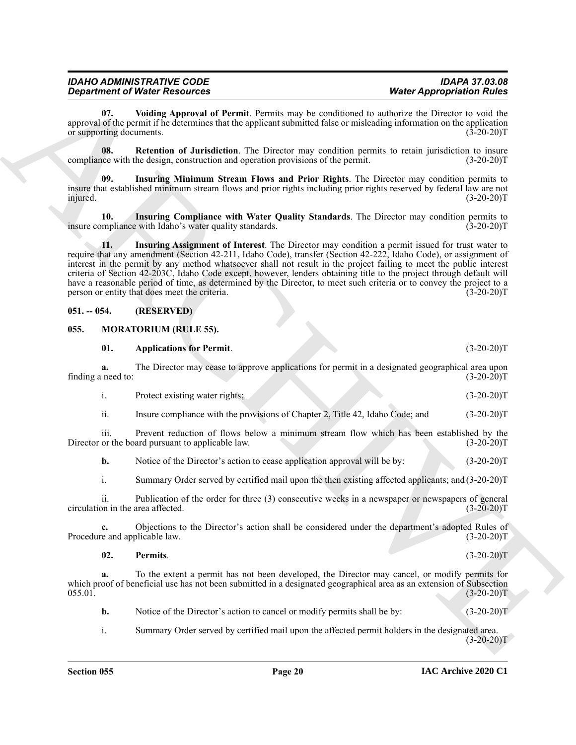<span id="page-19-6"></span><span id="page-19-5"></span><span id="page-19-4"></span>

| <b>IDAHO ADMINISTRATIVE CODE</b>     | <b>IDAPA 37.03.08</b>            |  |  |
|--------------------------------------|----------------------------------|--|--|
| <b>Department of Water Resources</b> | <b>Water Appropriation Rules</b> |  |  |

#### <span id="page-19-3"></span><span id="page-19-2"></span><span id="page-19-0"></span>**051. -- 054. (RESERVED)**

#### <span id="page-19-9"></span><span id="page-19-8"></span><span id="page-19-7"></span><span id="page-19-1"></span>**055. MORATORIUM (RULE 55).**

|                                 | <b>Department of Water Resources</b>                                                                                                                                                                                                                                                                                                                                                                                                                                                                                                                                                                                                       | <b>Water Appropriation Rules</b> |
|---------------------------------|--------------------------------------------------------------------------------------------------------------------------------------------------------------------------------------------------------------------------------------------------------------------------------------------------------------------------------------------------------------------------------------------------------------------------------------------------------------------------------------------------------------------------------------------------------------------------------------------------------------------------------------------|----------------------------------|
| 07.<br>or supporting documents. | Voiding Approval of Permit. Permits may be conditioned to authorize the Director to void the<br>approval of the permit if he determines that the applicant submitted false or misleading information on the application                                                                                                                                                                                                                                                                                                                                                                                                                    | $(3-20-20)T$                     |
| 08.                             | Retention of Jurisdiction. The Director may condition permits to retain jurisdiction to insure<br>compliance with the design, construction and operation provisions of the permit.                                                                                                                                                                                                                                                                                                                                                                                                                                                         | $(3-20-20)T$                     |
| 09.<br>injured.                 | Insuring Minimum Stream Flows and Prior Rights. The Director may condition permits to<br>insure that established minimum stream flows and prior rights including prior rights reserved by federal law are not                                                                                                                                                                                                                                                                                                                                                                                                                              | $(3-20-20)T$                     |
| 10.                             | Insuring Compliance with Water Quality Standards. The Director may condition permits to<br>insure compliance with Idaho's water quality standards.                                                                                                                                                                                                                                                                                                                                                                                                                                                                                         | $(3-20-20)T$                     |
| 11.                             | Insuring Assignment of Interest. The Director may condition a permit issued for trust water to<br>require that any amendment (Section 42-211, Idaho Code), transfer (Section 42-222, Idaho Code), or assignment of<br>interest in the permit by any method whatsoever shall not result in the project failing to meet the public interest<br>criteria of Section 42-203C, Idaho Code except, however, lenders obtaining title to the project through default will<br>have a reasonable period of time, as determined by the Director, to meet such criteria or to convey the project to a<br>person or entity that does meet the criteria. | $(3-20-20)T$                     |
| $051. - 054.$                   | (RESERVED)                                                                                                                                                                                                                                                                                                                                                                                                                                                                                                                                                                                                                                 |                                  |
| 055.                            | <b>MORATORIUM (RULE 55).</b>                                                                                                                                                                                                                                                                                                                                                                                                                                                                                                                                                                                                               |                                  |
| 01.                             | <b>Applications for Permit.</b>                                                                                                                                                                                                                                                                                                                                                                                                                                                                                                                                                                                                            | $(3-20-20)T$                     |
| a.<br>finding a need to:        | The Director may cease to approve applications for permit in a designated geographical area upon                                                                                                                                                                                                                                                                                                                                                                                                                                                                                                                                           | $(3-20-20)T$                     |
| i.                              | Protect existing water rights;                                                                                                                                                                                                                                                                                                                                                                                                                                                                                                                                                                                                             | $(3-20-20)T$                     |
| ii.                             | Insure compliance with the provisions of Chapter 2, Title 42, Idaho Code; and                                                                                                                                                                                                                                                                                                                                                                                                                                                                                                                                                              | $(3-20-20)T$                     |
| iii.                            | Prevent reduction of flows below a minimum stream flow which has been established by the<br>Director or the board pursuant to applicable law.                                                                                                                                                                                                                                                                                                                                                                                                                                                                                              | $(3-20-20)T$                     |
| b.                              | Notice of the Director's action to cease application approval will be by:                                                                                                                                                                                                                                                                                                                                                                                                                                                                                                                                                                  | $(3-20-20)T$                     |
|                                 | Summary Order served by certified mail upon the then existing affected applicants; and (3-20-20)T                                                                                                                                                                                                                                                                                                                                                                                                                                                                                                                                          |                                  |
| $\mathbf{i}$ .                  |                                                                                                                                                                                                                                                                                                                                                                                                                                                                                                                                                                                                                                            |                                  |
| 11.                             | Publication of the order for three (3) consecutive weeks in a newspaper or newspapers of general<br>circulation in the area affected.                                                                                                                                                                                                                                                                                                                                                                                                                                                                                                      | $(3-20-20)T$                     |
| c.                              | Objections to the Director's action shall be considered under the department's adopted Rules of<br>Procedure and applicable law.                                                                                                                                                                                                                                                                                                                                                                                                                                                                                                           | $(3-20-20)T$                     |
| 02.                             | Permits.                                                                                                                                                                                                                                                                                                                                                                                                                                                                                                                                                                                                                                   | $(3-20-20)T$                     |
| a.<br>055.01.                   | To the extent a permit has not been developed, the Director may cancel, or modify permits for<br>which proof of beneficial use has not been submitted in a designated geographical area as an extension of Subsection                                                                                                                                                                                                                                                                                                                                                                                                                      | $(3-20-20)T$                     |
| b.                              | Notice of the Director's action to cancel or modify permits shall be by:                                                                                                                                                                                                                                                                                                                                                                                                                                                                                                                                                                   | $(3-20-20)T$                     |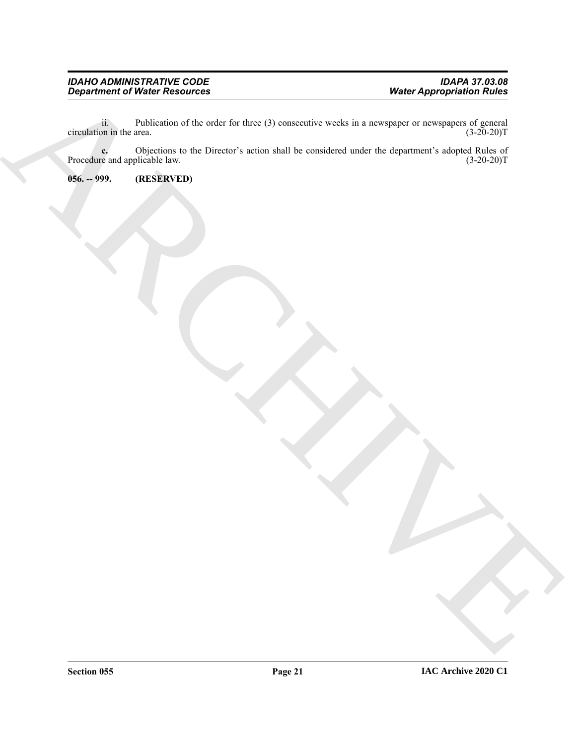ii. Publication of the order for three (3) consecutive weeks in a newspaper or newspapers of general (3-20-20)T<br>(3-20-20)T circulation in the area.

Department of Water Resolution<br>
consigning a C-britan of the other three (2) teams that we considered under the deputies in starped Digital of<br>
Proceduring a C-britan to the Director's action that the considered under the **c.** Objections to the Director's action shall be considered under the department's adopted Rules of re and applicable law.  $(3-20-20)T$ Procedure and applicable law.

<span id="page-20-0"></span>**056. -- 999. (RESERVED)**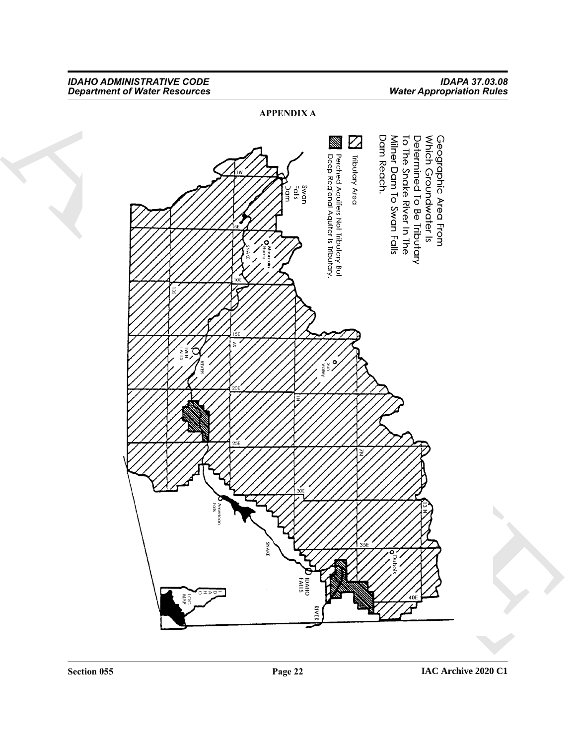<span id="page-21-0"></span>ARCHIVE **APPENDIX A**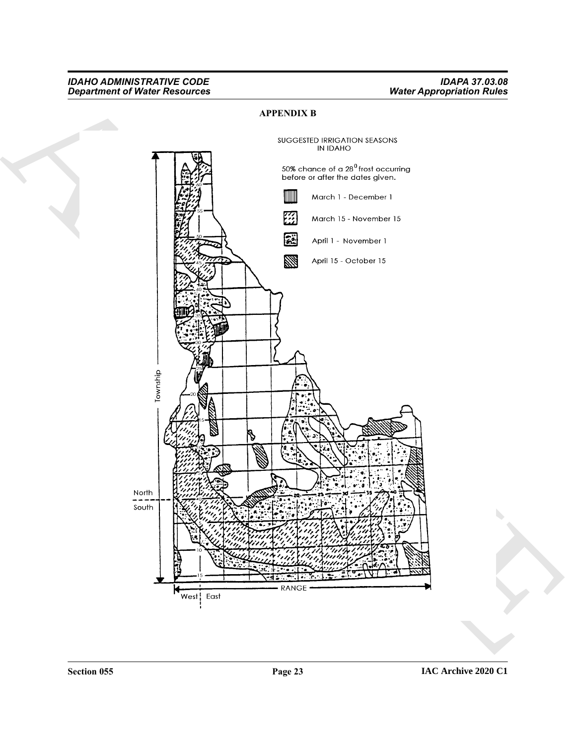### <span id="page-22-0"></span>**APPENDIX B**

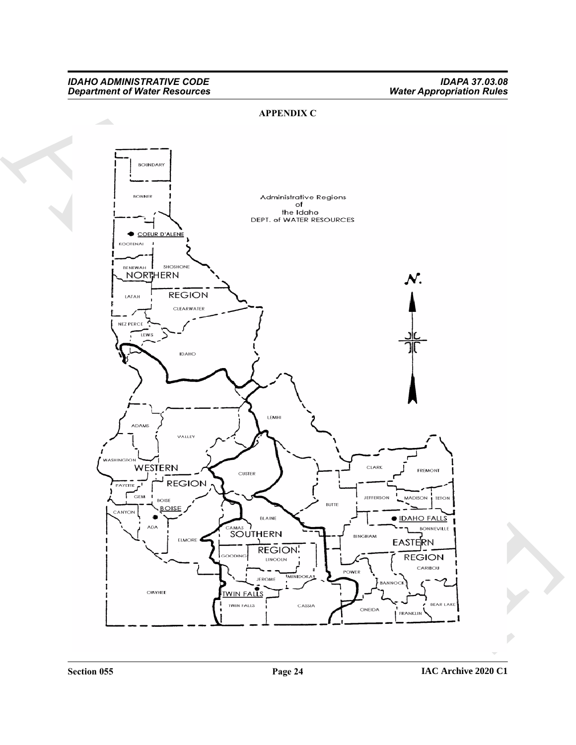### <span id="page-23-0"></span>**APPENDIX C**